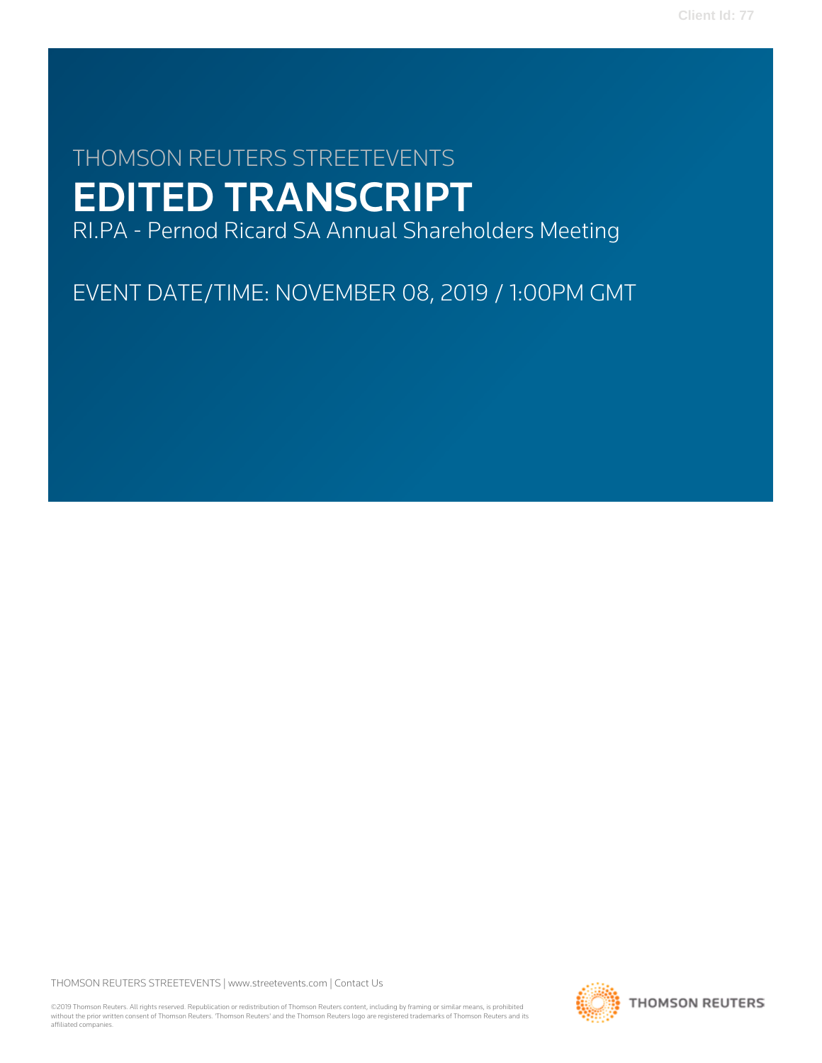# THOMSON REUTERS STREETEVENTS EDITED TRANSCRIPT

RI.PA - Pernod Ricard SA Annual Shareholders Meeting

EVENT DATE/TIME: NOVEMBER 08, 2019 / 1:00PM GMT

THOMSON REUTERS STREETEVENTS | [www.streetevents.com](http://www.streetevents.com) | [Contact Us](http://www010.streetevents.com/contact.asp)

©2019 Thomson Reuters. All rights reserved. Republication or redistribution of Thomson Reuters content, including by framing or similar means, is prohibited without the prior written consent of Thomson Reuters. 'Thomson Reuters' and the Thomson Reuters logo are registered trademarks of Thomson Reuters and its affiliated companies.

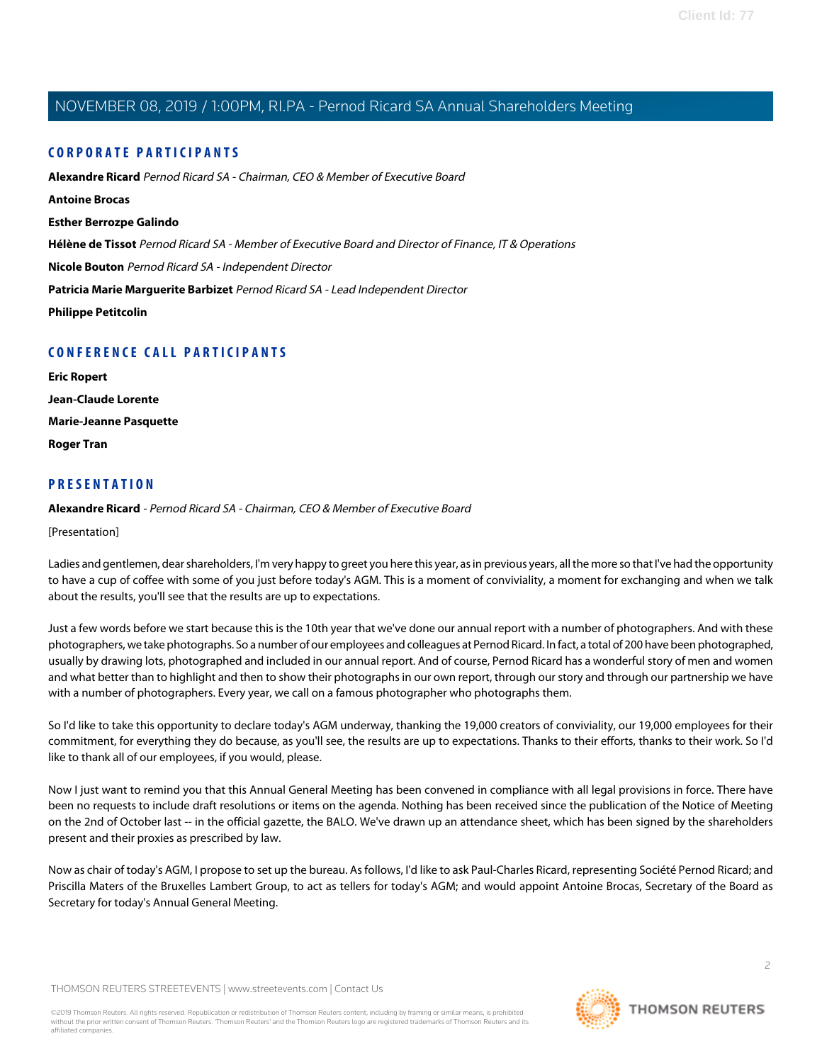### **CORPORATE PARTICIPANTS**

**[Alexandre Ricard](#page-1-0)** Pernod Ricard SA - Chairman, CEO & Member of Executive Board **[Antoine Brocas](#page-14-0) [Esther Berrozpe Galindo](#page-15-0) [Hélène de Tissot](#page-9-0)** Pernod Ricard SA - Member of Executive Board and Director of Finance, IT & Operations **[Nicole Bouton](#page-12-0)** Pernod Ricard SA - Independent Director **[Patricia Marie Marguerite Barbizet](#page-11-0)** Pernod Ricard SA - Lead Independent Director **[Philippe Petitcolin](#page-16-0)**

## **CONFERENCE CALL PARTICIPANTS**

**[Eric Ropert](#page-13-0) [Jean-Claude Lorente](#page-22-0) [Marie-Jeanne Pasquette](#page-21-0) [Roger Tran](#page-19-0)**

### <span id="page-1-0"></span>**PRESENTATION**

**Alexandre Ricard** - Pernod Ricard SA - Chairman, CEO & Member of Executive Board

[Presentation]

Ladies and gentlemen, dear shareholders, I'm very happy to greet you here this year, as in previous years, all the more so that I've had the opportunity to have a cup of coffee with some of you just before today's AGM. This is a moment of conviviality, a moment for exchanging and when we talk about the results, you'll see that the results are up to expectations.

Just a few words before we start because this is the 10th year that we've done our annual report with a number of photographers. And with these photographers, we take photographs. So a number of our employees and colleagues at Pernod Ricard. In fact, a total of 200 have been photographed, usually by drawing lots, photographed and included in our annual report. And of course, Pernod Ricard has a wonderful story of men and women and what better than to highlight and then to show their photographs in our own report, through our story and through our partnership we have with a number of photographers. Every year, we call on a famous photographer who photographs them.

So I'd like to take this opportunity to declare today's AGM underway, thanking the 19,000 creators of conviviality, our 19,000 employees for their commitment, for everything they do because, as you'll see, the results are up to expectations. Thanks to their efforts, thanks to their work. So I'd like to thank all of our employees, if you would, please.

Now I just want to remind you that this Annual General Meeting has been convened in compliance with all legal provisions in force. There have been no requests to include draft resolutions or items on the agenda. Nothing has been received since the publication of the Notice of Meeting on the 2nd of October last -- in the official gazette, the BALO. We've drawn up an attendance sheet, which has been signed by the shareholders present and their proxies as prescribed by law.

Now as chair of today's AGM, I propose to set up the bureau. As follows, I'd like to ask Paul-Charles Ricard, representing Société Pernod Ricard; and Priscilla Maters of the Bruxelles Lambert Group, to act as tellers for today's AGM; and would appoint Antoine Brocas, Secretary of the Board as Secretary for today's Annual General Meeting.

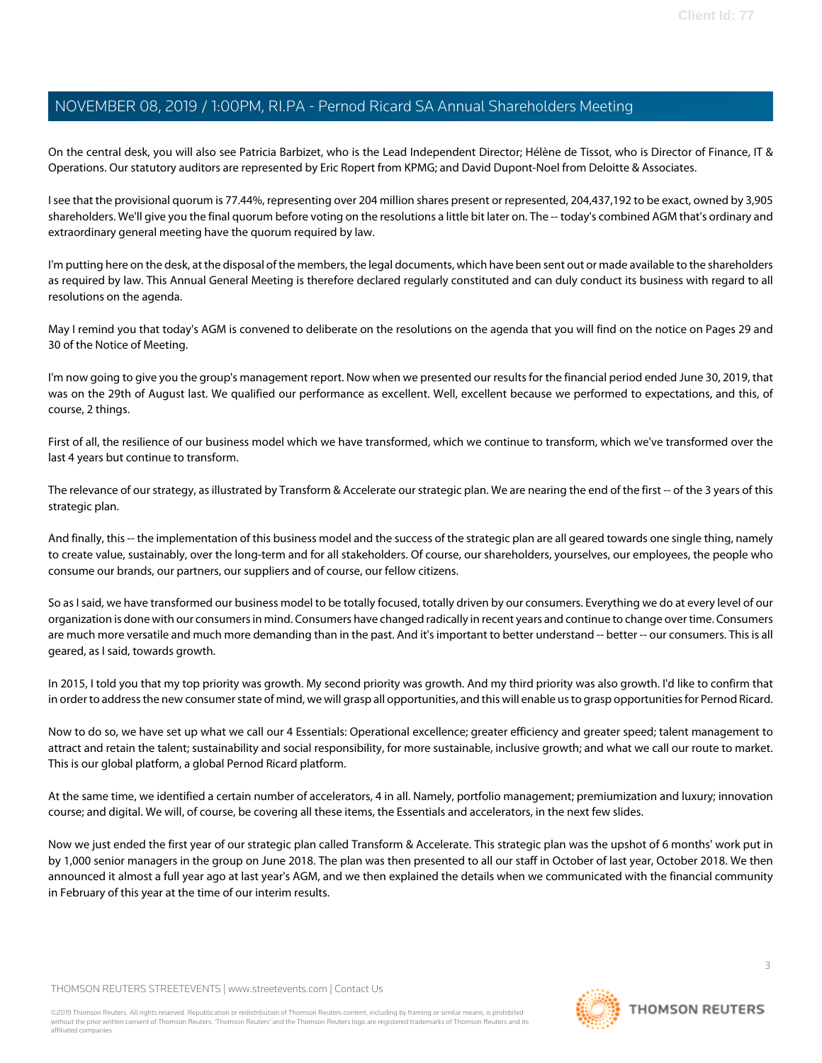On the central desk, you will also see Patricia Barbizet, who is the Lead Independent Director; Hélène de Tissot, who is Director of Finance, IT & Operations. Our statutory auditors are represented by Eric Ropert from KPMG; and David Dupont-Noel from Deloitte & Associates.

I see that the provisional quorum is 77.44%, representing over 204 million shares present or represented, 204,437,192 to be exact, owned by 3,905 shareholders. We'll give you the final quorum before voting on the resolutions a little bit later on. The -- today's combined AGM that's ordinary and extraordinary general meeting have the quorum required by law.

I'm putting here on the desk, at the disposal of the members, the legal documents, which have been sent out or made available to the shareholders as required by law. This Annual General Meeting is therefore declared regularly constituted and can duly conduct its business with regard to all resolutions on the agenda.

May I remind you that today's AGM is convened to deliberate on the resolutions on the agenda that you will find on the notice on Pages 29 and 30 of the Notice of Meeting.

I'm now going to give you the group's management report. Now when we presented our results for the financial period ended June 30, 2019, that was on the 29th of August last. We qualified our performance as excellent. Well, excellent because we performed to expectations, and this, of course, 2 things.

First of all, the resilience of our business model which we have transformed, which we continue to transform, which we've transformed over the last 4 years but continue to transform.

The relevance of our strategy, as illustrated by Transform & Accelerate our strategic plan. We are nearing the end of the first -- of the 3 years of this strategic plan.

And finally, this -- the implementation of this business model and the success of the strategic plan are all geared towards one single thing, namely to create value, sustainably, over the long-term and for all stakeholders. Of course, our shareholders, yourselves, our employees, the people who consume our brands, our partners, our suppliers and of course, our fellow citizens.

So as I said, we have transformed our business model to be totally focused, totally driven by our consumers. Everything we do at every level of our organization is done with our consumers in mind. Consumers have changed radically in recent years and continue to change over time. Consumers are much more versatile and much more demanding than in the past. And it's important to better understand -- better -- our consumers. This is all geared, as I said, towards growth.

In 2015, I told you that my top priority was growth. My second priority was growth. And my third priority was also growth. I'd like to confirm that in order to address the new consumer state of mind, we will grasp all opportunities, and this will enable us to grasp opportunities for Pernod Ricard.

Now to do so, we have set up what we call our 4 Essentials: Operational excellence; greater efficiency and greater speed; talent management to attract and retain the talent; sustainability and social responsibility, for more sustainable, inclusive growth; and what we call our route to market. This is our global platform, a global Pernod Ricard platform.

At the same time, we identified a certain number of accelerators, 4 in all. Namely, portfolio management; premiumization and luxury; innovation course; and digital. We will, of course, be covering all these items, the Essentials and accelerators, in the next few slides.

Now we just ended the first year of our strategic plan called Transform & Accelerate. This strategic plan was the upshot of 6 months' work put in by 1,000 senior managers in the group on June 2018. The plan was then presented to all our staff in October of last year, October 2018. We then announced it almost a full year ago at last year's AGM, and we then explained the details when we communicated with the financial community in February of this year at the time of our interim results.

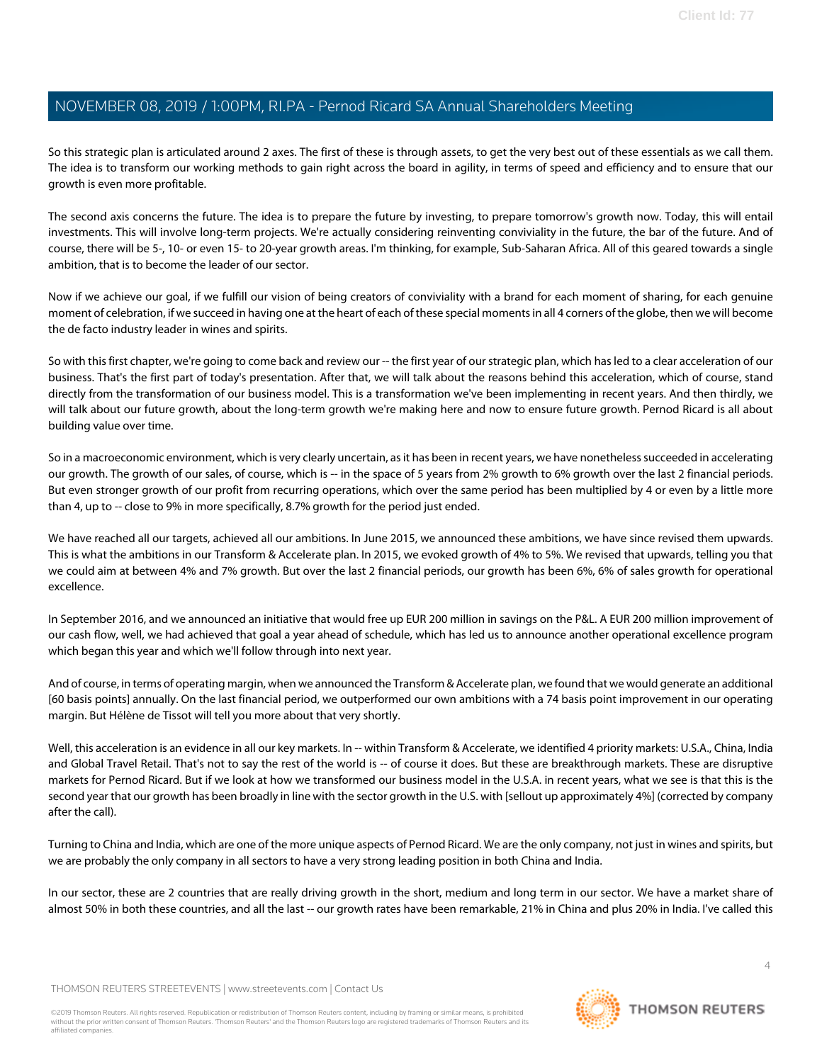So this strategic plan is articulated around 2 axes. The first of these is through assets, to get the very best out of these essentials as we call them. The idea is to transform our working methods to gain right across the board in agility, in terms of speed and efficiency and to ensure that our growth is even more profitable.

The second axis concerns the future. The idea is to prepare the future by investing, to prepare tomorrow's growth now. Today, this will entail investments. This will involve long-term projects. We're actually considering reinventing conviviality in the future, the bar of the future. And of course, there will be 5-, 10- or even 15- to 20-year growth areas. I'm thinking, for example, Sub-Saharan Africa. All of this geared towards a single ambition, that is to become the leader of our sector.

Now if we achieve our goal, if we fulfill our vision of being creators of conviviality with a brand for each moment of sharing, for each genuine moment of celebration, if we succeed in having one at the heart of each of these special moments in all 4 corners of the globe, then we will become the de facto industry leader in wines and spirits.

So with this first chapter, we're going to come back and review our -- the first year of our strategic plan, which has led to a clear acceleration of our business. That's the first part of today's presentation. After that, we will talk about the reasons behind this acceleration, which of course, stand directly from the transformation of our business model. This is a transformation we've been implementing in recent years. And then thirdly, we will talk about our future growth, about the long-term growth we're making here and now to ensure future growth. Pernod Ricard is all about building value over time.

So in a macroeconomic environment, which is very clearly uncertain, as it has been in recent years, we have nonetheless succeeded in accelerating our growth. The growth of our sales, of course, which is -- in the space of 5 years from 2% growth to 6% growth over the last 2 financial periods. But even stronger growth of our profit from recurring operations, which over the same period has been multiplied by 4 or even by a little more than 4, up to -- close to 9% in more specifically, 8.7% growth for the period just ended.

We have reached all our targets, achieved all our ambitions. In June 2015, we announced these ambitions, we have since revised them upwards. This is what the ambitions in our Transform & Accelerate plan. In 2015, we evoked growth of 4% to 5%. We revised that upwards, telling you that we could aim at between 4% and 7% growth. But over the last 2 financial periods, our growth has been 6%, 6% of sales growth for operational excellence.

In September 2016, and we announced an initiative that would free up EUR 200 million in savings on the P&L. A EUR 200 million improvement of our cash flow, well, we had achieved that goal a year ahead of schedule, which has led us to announce another operational excellence program which began this year and which we'll follow through into next year.

And of course, in terms of operating margin, when we announced the Transform & Accelerate plan, we found that we would generate an additional [60 basis points] annually. On the last financial period, we outperformed our own ambitions with a 74 basis point improvement in our operating margin. But Hélène de Tissot will tell you more about that very shortly.

Well, this acceleration is an evidence in all our key markets. In -- within Transform & Accelerate, we identified 4 priority markets: U.S.A., China, India and Global Travel Retail. That's not to say the rest of the world is -- of course it does. But these are breakthrough markets. These are disruptive markets for Pernod Ricard. But if we look at how we transformed our business model in the U.S.A. in recent years, what we see is that this is the second year that our growth has been broadly in line with the sector growth in the U.S. with [sellout up approximately 4%] (corrected by company after the call).

Turning to China and India, which are one of the more unique aspects of Pernod Ricard. We are the only company, not just in wines and spirits, but we are probably the only company in all sectors to have a very strong leading position in both China and India.

In our sector, these are 2 countries that are really driving growth in the short, medium and long term in our sector. We have a market share of almost 50% in both these countries, and all the last -- our growth rates have been remarkable, 21% in China and plus 20% in India. I've called this

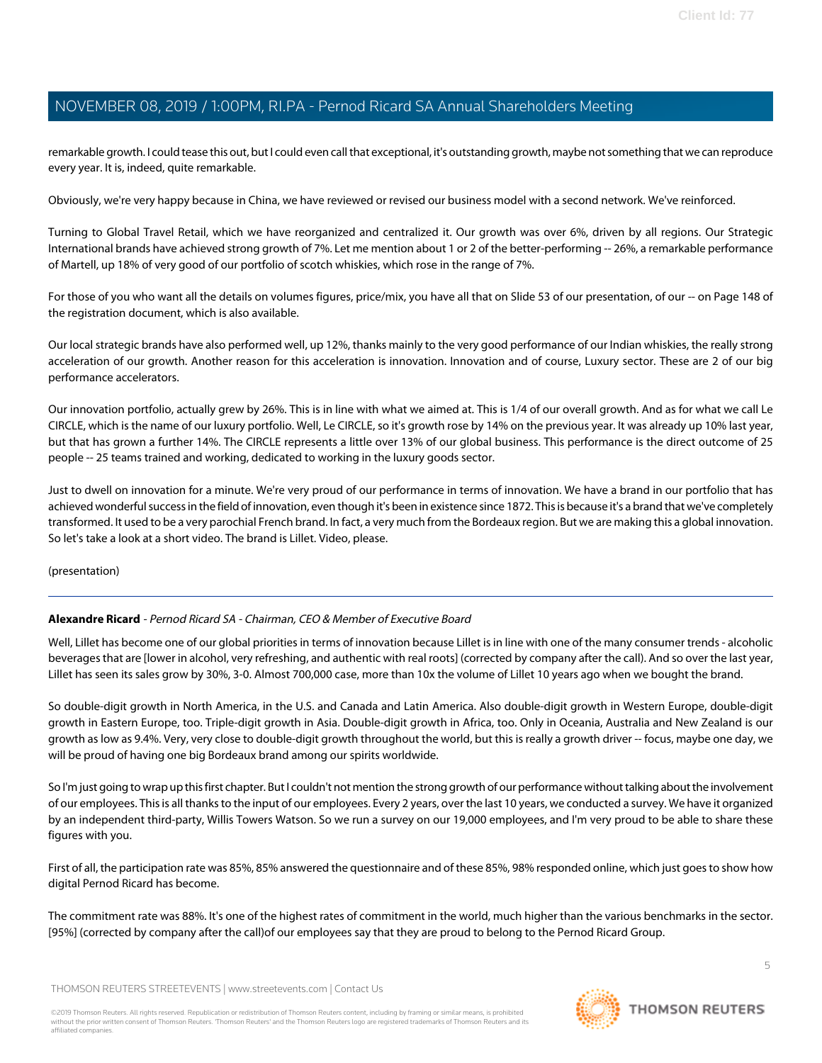remarkable growth. I could tease this out, but I could even call that exceptional, it's outstanding growth, maybe not something that we can reproduce every year. It is, indeed, quite remarkable.

Obviously, we're very happy because in China, we have reviewed or revised our business model with a second network. We've reinforced.

Turning to Global Travel Retail, which we have reorganized and centralized it. Our growth was over 6%, driven by all regions. Our Strategic International brands have achieved strong growth of 7%. Let me mention about 1 or 2 of the better-performing -- 26%, a remarkable performance of Martell, up 18% of very good of our portfolio of scotch whiskies, which rose in the range of 7%.

For those of you who want all the details on volumes figures, price/mix, you have all that on Slide 53 of our presentation, of our -- on Page 148 of the registration document, which is also available.

Our local strategic brands have also performed well, up 12%, thanks mainly to the very good performance of our Indian whiskies, the really strong acceleration of our growth. Another reason for this acceleration is innovation. Innovation and of course, Luxury sector. These are 2 of our big performance accelerators.

Our innovation portfolio, actually grew by 26%. This is in line with what we aimed at. This is 1/4 of our overall growth. And as for what we call Le CIRCLE, which is the name of our luxury portfolio. Well, Le CIRCLE, so it's growth rose by 14% on the previous year. It was already up 10% last year, but that has grown a further 14%. The CIRCLE represents a little over 13% of our global business. This performance is the direct outcome of 25 people -- 25 teams trained and working, dedicated to working in the luxury goods sector.

Just to dwell on innovation for a minute. We're very proud of our performance in terms of innovation. We have a brand in our portfolio that has achieved wonderful success in the field of innovation, even though it's been in existence since 1872. This is because it's a brand that we've completely transformed. It used to be a very parochial French brand. In fact, a very much from the Bordeaux region. But we are making this a global innovation. So let's take a look at a short video. The brand is Lillet. Video, please.

(presentation)

### **Alexandre Ricard** - Pernod Ricard SA - Chairman, CEO & Member of Executive Board

Well, Lillet has become one of our global priorities in terms of innovation because Lillet is in line with one of the many consumer trends - alcoholic beverages that are [lower in alcohol, very refreshing, and authentic with real roots] (corrected by company after the call). And so over the last year, Lillet has seen its sales grow by 30%, 3-0. Almost 700,000 case, more than 10x the volume of Lillet 10 years ago when we bought the brand.

So double-digit growth in North America, in the U.S. and Canada and Latin America. Also double-digit growth in Western Europe, double-digit growth in Eastern Europe, too. Triple-digit growth in Asia. Double-digit growth in Africa, too. Only in Oceania, Australia and New Zealand is our growth as low as 9.4%. Very, very close to double-digit growth throughout the world, but this is really a growth driver -- focus, maybe one day, we will be proud of having one big Bordeaux brand among our spirits worldwide.

So I'm just going to wrap up this first chapter. But I couldn't not mention the strong growth of our performance without talking about the involvement of our employees. This is all thanks to the input of our employees. Every 2 years, over the last 10 years, we conducted a survey. We have it organized by an independent third-party, Willis Towers Watson. So we run a survey on our 19,000 employees, and I'm very proud to be able to share these figures with you.

First of all, the participation rate was 85%, 85% answered the questionnaire and of these 85%, 98% responded online, which just goes to show how digital Pernod Ricard has become.

The commitment rate was 88%. It's one of the highest rates of commitment in the world, much higher than the various benchmarks in the sector. [95%] (corrected by company after the call)of our employees say that they are proud to belong to the Pernod Ricard Group.

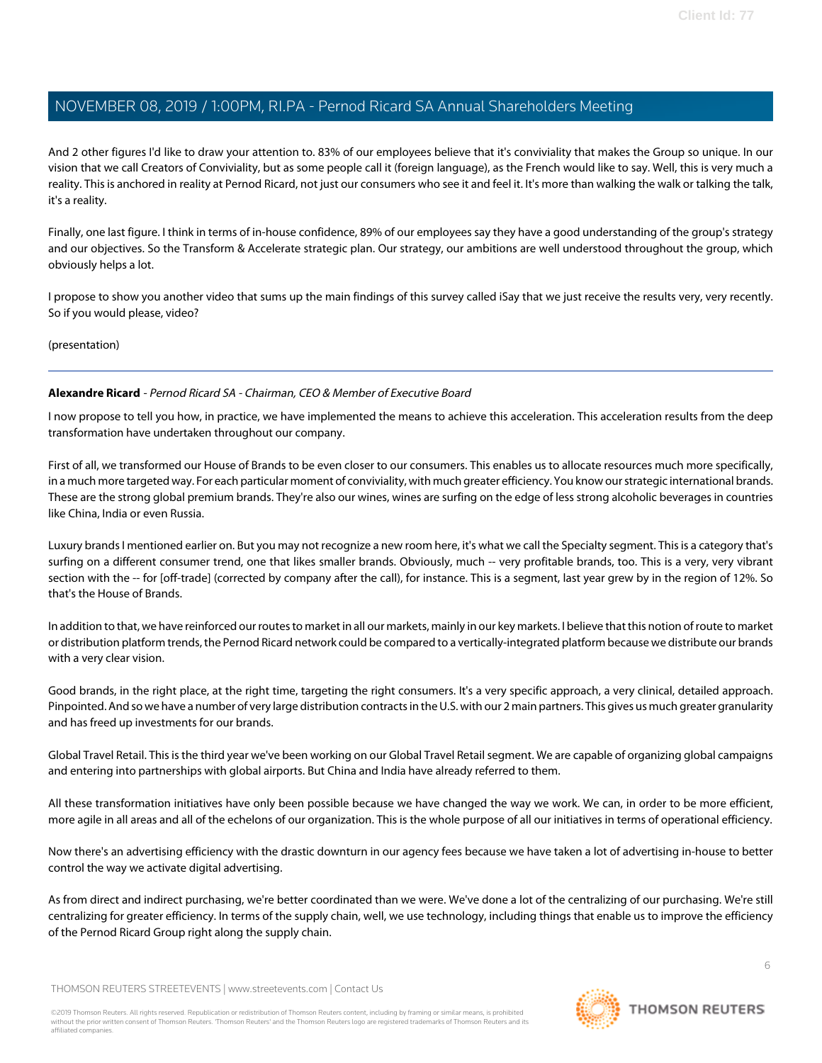And 2 other figures I'd like to draw your attention to. 83% of our employees believe that it's conviviality that makes the Group so unique. In our vision that we call Creators of Conviviality, but as some people call it (foreign language), as the French would like to say. Well, this is very much a reality. This is anchored in reality at Pernod Ricard, not just our consumers who see it and feel it. It's more than walking the walk or talking the talk, it's a reality.

Finally, one last figure. I think in terms of in-house confidence, 89% of our employees say they have a good understanding of the group's strategy and our objectives. So the Transform & Accelerate strategic plan. Our strategy, our ambitions are well understood throughout the group, which obviously helps a lot.

I propose to show you another video that sums up the main findings of this survey called iSay that we just receive the results very, very recently. So if you would please, video?

(presentation)

### **Alexandre Ricard** - Pernod Ricard SA - Chairman, CEO & Member of Executive Board

I now propose to tell you how, in practice, we have implemented the means to achieve this acceleration. This acceleration results from the deep transformation have undertaken throughout our company.

First of all, we transformed our House of Brands to be even closer to our consumers. This enables us to allocate resources much more specifically, in a much more targeted way. For each particular moment of conviviality, with much greater efficiency. You know our strategic international brands. These are the strong global premium brands. They're also our wines, wines are surfing on the edge of less strong alcoholic beverages in countries like China, India or even Russia.

Luxury brands I mentioned earlier on. But you may not recognize a new room here, it's what we call the Specialty segment. This is a category that's surfing on a different consumer trend, one that likes smaller brands. Obviously, much -- very profitable brands, too. This is a very, very vibrant section with the -- for [off-trade] (corrected by company after the call), for instance. This is a segment, last year grew by in the region of 12%. So that's the House of Brands.

In addition to that, we have reinforced our routes to market in all our markets, mainly in our key markets. I believe that this notion of route to market or distribution platform trends, the Pernod Ricard network could be compared to a vertically-integrated platform because we distribute our brands with a very clear vision.

Good brands, in the right place, at the right time, targeting the right consumers. It's a very specific approach, a very clinical, detailed approach. Pinpointed. And so we have a number of very large distribution contracts in the U.S. with our 2 main partners. This gives us much greater granularity and has freed up investments for our brands.

Global Travel Retail. This is the third year we've been working on our Global Travel Retail segment. We are capable of organizing global campaigns and entering into partnerships with global airports. But China and India have already referred to them.

All these transformation initiatives have only been possible because we have changed the way we work. We can, in order to be more efficient, more agile in all areas and all of the echelons of our organization. This is the whole purpose of all our initiatives in terms of operational efficiency.

Now there's an advertising efficiency with the drastic downturn in our agency fees because we have taken a lot of advertising in-house to better control the way we activate digital advertising.

As from direct and indirect purchasing, we're better coordinated than we were. We've done a lot of the centralizing of our purchasing. We're still centralizing for greater efficiency. In terms of the supply chain, well, we use technology, including things that enable us to improve the efficiency of the Pernod Ricard Group right along the supply chain.

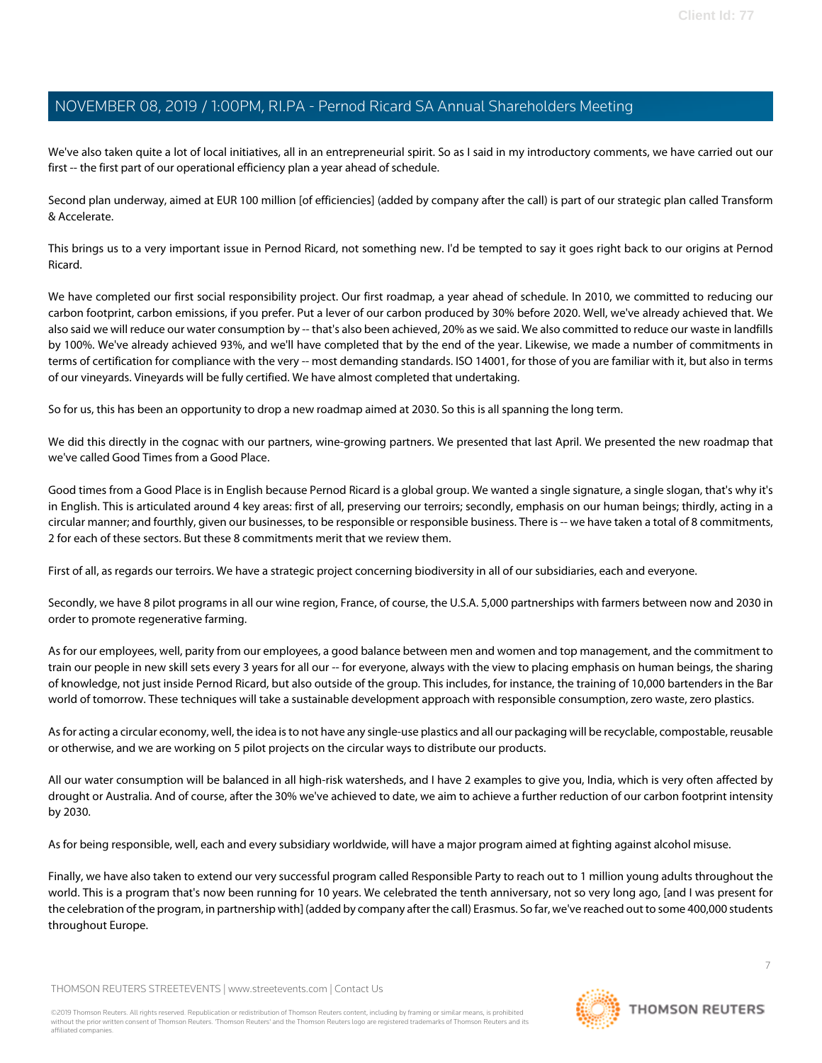We've also taken quite a lot of local initiatives, all in an entrepreneurial spirit. So as I said in my introductory comments, we have carried out our first -- the first part of our operational efficiency plan a year ahead of schedule.

Second plan underway, aimed at EUR 100 million [of efficiencies] (added by company after the call) is part of our strategic plan called Transform & Accelerate.

This brings us to a very important issue in Pernod Ricard, not something new. I'd be tempted to say it goes right back to our origins at Pernod Ricard.

We have completed our first social responsibility project. Our first roadmap, a year ahead of schedule. In 2010, we committed to reducing our carbon footprint, carbon emissions, if you prefer. Put a lever of our carbon produced by 30% before 2020. Well, we've already achieved that. We also said we will reduce our water consumption by -- that's also been achieved, 20% as we said. We also committed to reduce our waste in landfills by 100%. We've already achieved 93%, and we'll have completed that by the end of the year. Likewise, we made a number of commitments in terms of certification for compliance with the very -- most demanding standards. ISO 14001, for those of you are familiar with it, but also in terms of our vineyards. Vineyards will be fully certified. We have almost completed that undertaking.

So for us, this has been an opportunity to drop a new roadmap aimed at 2030. So this is all spanning the long term.

We did this directly in the cognac with our partners, wine-growing partners. We presented that last April. We presented the new roadmap that we've called Good Times from a Good Place.

Good times from a Good Place is in English because Pernod Ricard is a global group. We wanted a single signature, a single slogan, that's why it's in English. This is articulated around 4 key areas: first of all, preserving our terroirs; secondly, emphasis on our human beings; thirdly, acting in a circular manner; and fourthly, given our businesses, to be responsible or responsible business. There is -- we have taken a total of 8 commitments, 2 for each of these sectors. But these 8 commitments merit that we review them.

First of all, as regards our terroirs. We have a strategic project concerning biodiversity in all of our subsidiaries, each and everyone.

Secondly, we have 8 pilot programs in all our wine region, France, of course, the U.S.A. 5,000 partnerships with farmers between now and 2030 in order to promote regenerative farming.

As for our employees, well, parity from our employees, a good balance between men and women and top management, and the commitment to train our people in new skill sets every 3 years for all our -- for everyone, always with the view to placing emphasis on human beings, the sharing of knowledge, not just inside Pernod Ricard, but also outside of the group. This includes, for instance, the training of 10,000 bartenders in the Bar world of tomorrow. These techniques will take a sustainable development approach with responsible consumption, zero waste, zero plastics.

As for acting a circular economy, well, the idea is to not have any single-use plastics and all our packaging will be recyclable, compostable, reusable or otherwise, and we are working on 5 pilot projects on the circular ways to distribute our products.

All our water consumption will be balanced in all high-risk watersheds, and I have 2 examples to give you, India, which is very often affected by drought or Australia. And of course, after the 30% we've achieved to date, we aim to achieve a further reduction of our carbon footprint intensity by 2030.

As for being responsible, well, each and every subsidiary worldwide, will have a major program aimed at fighting against alcohol misuse.

Finally, we have also taken to extend our very successful program called Responsible Party to reach out to 1 million young adults throughout the world. This is a program that's now been running for 10 years. We celebrated the tenth anniversary, not so very long ago, [and I was present for the celebration of the program, in partnership with] (added by company after the call) Erasmus. So far, we've reached out to some 400,000 students throughout Europe.

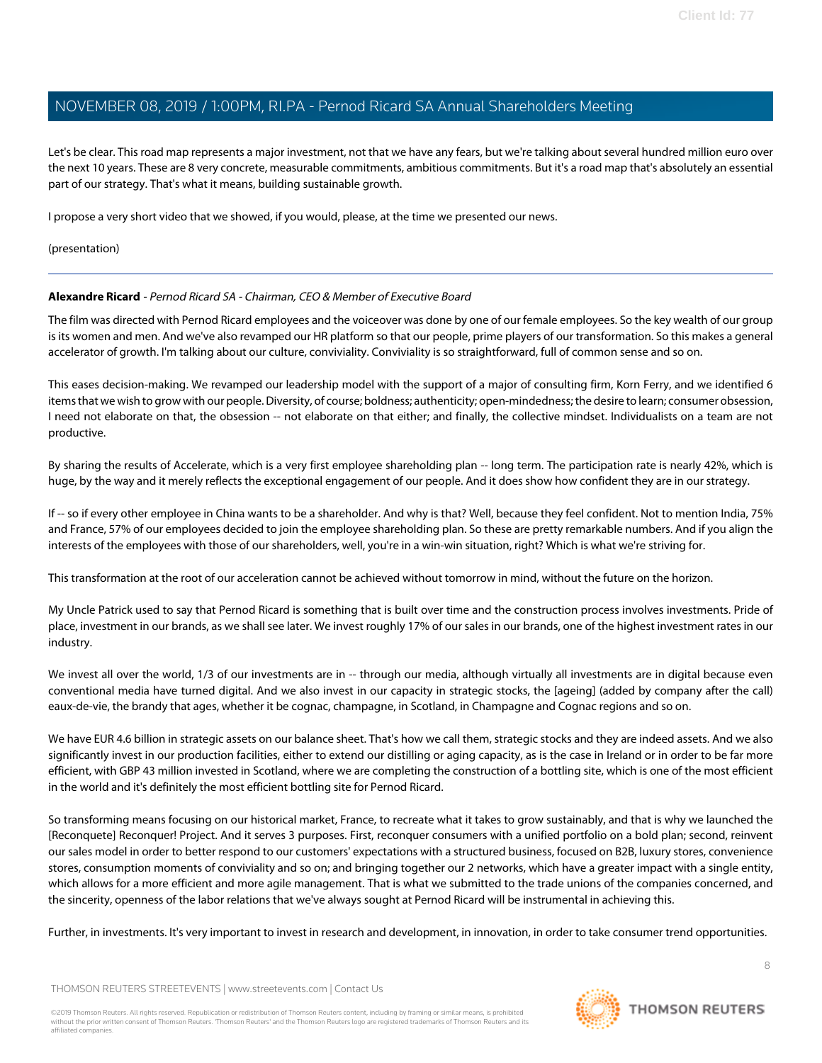Let's be clear. This road map represents a major investment, not that we have any fears, but we're talking about several hundred million euro over the next 10 years. These are 8 very concrete, measurable commitments, ambitious commitments. But it's a road map that's absolutely an essential part of our strategy. That's what it means, building sustainable growth.

I propose a very short video that we showed, if you would, please, at the time we presented our news.

### (presentation)

### **Alexandre Ricard** - Pernod Ricard SA - Chairman, CEO & Member of Executive Board

The film was directed with Pernod Ricard employees and the voiceover was done by one of our female employees. So the key wealth of our group is its women and men. And we've also revamped our HR platform so that our people, prime players of our transformation. So this makes a general accelerator of growth. I'm talking about our culture, conviviality. Conviviality is so straightforward, full of common sense and so on.

This eases decision-making. We revamped our leadership model with the support of a major of consulting firm, Korn Ferry, and we identified 6 items that we wish to grow with our people. Diversity, of course; boldness; authenticity; open-mindedness; the desire to learn; consumer obsession, I need not elaborate on that, the obsession -- not elaborate on that either; and finally, the collective mindset. Individualists on a team are not productive.

By sharing the results of Accelerate, which is a very first employee shareholding plan -- long term. The participation rate is nearly 42%, which is huge, by the way and it merely reflects the exceptional engagement of our people. And it does show how confident they are in our strategy.

If -- so if every other employee in China wants to be a shareholder. And why is that? Well, because they feel confident. Not to mention India, 75% and France, 57% of our employees decided to join the employee shareholding plan. So these are pretty remarkable numbers. And if you align the interests of the employees with those of our shareholders, well, you're in a win-win situation, right? Which is what we're striving for.

This transformation at the root of our acceleration cannot be achieved without tomorrow in mind, without the future on the horizon.

My Uncle Patrick used to say that Pernod Ricard is something that is built over time and the construction process involves investments. Pride of place, investment in our brands, as we shall see later. We invest roughly 17% of our sales in our brands, one of the highest investment rates in our industry.

We invest all over the world, 1/3 of our investments are in -- through our media, although virtually all investments are in digital because even conventional media have turned digital. And we also invest in our capacity in strategic stocks, the [ageing] (added by company after the call) eaux-de-vie, the brandy that ages, whether it be cognac, champagne, in Scotland, in Champagne and Cognac regions and so on.

We have EUR 4.6 billion in strategic assets on our balance sheet. That's how we call them, strategic stocks and they are indeed assets. And we also significantly invest in our production facilities, either to extend our distilling or aging capacity, as is the case in Ireland or in order to be far more efficient, with GBP 43 million invested in Scotland, where we are completing the construction of a bottling site, which is one of the most efficient in the world and it's definitely the most efficient bottling site for Pernod Ricard.

So transforming means focusing on our historical market, France, to recreate what it takes to grow sustainably, and that is why we launched the [Reconquete] Reconquer! Project. And it serves 3 purposes. First, reconquer consumers with a unified portfolio on a bold plan; second, reinvent our sales model in order to better respond to our customers' expectations with a structured business, focused on B2B, luxury stores, convenience stores, consumption moments of conviviality and so on; and bringing together our 2 networks, which have a greater impact with a single entity, which allows for a more efficient and more agile management. That is what we submitted to the trade unions of the companies concerned, and the sincerity, openness of the labor relations that we've always sought at Pernod Ricard will be instrumental in achieving this.

Further, in investments. It's very important to invest in research and development, in innovation, in order to take consumer trend opportunities.

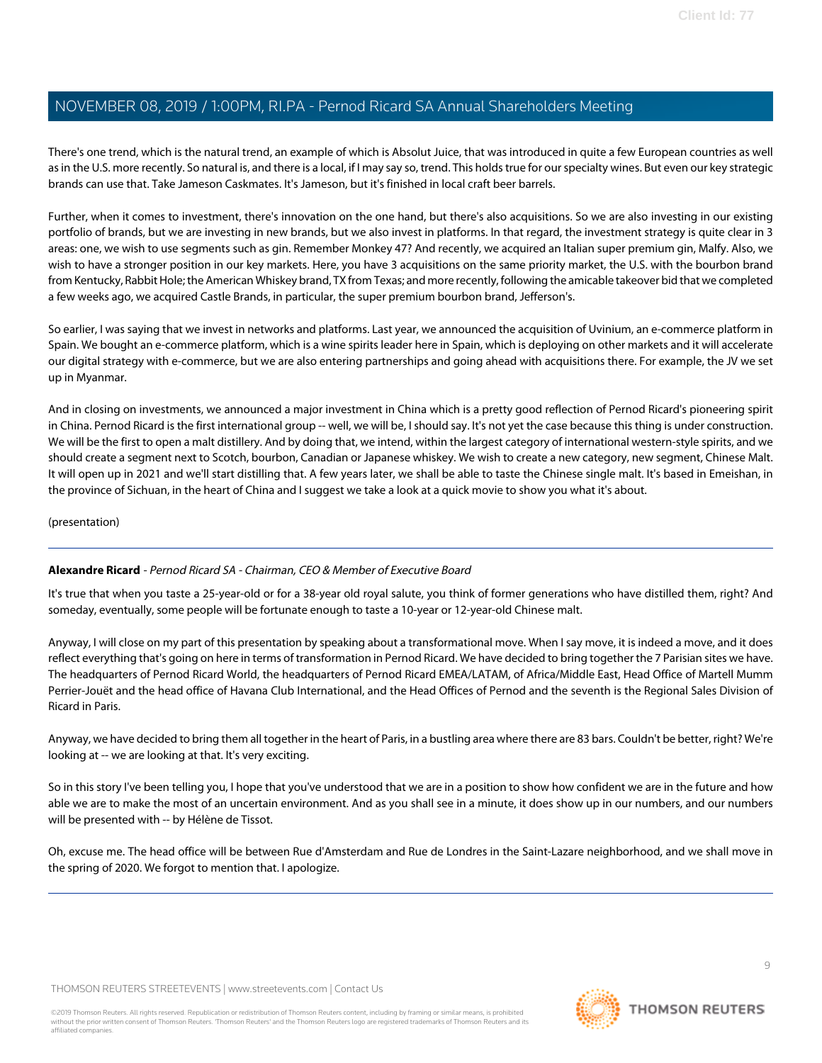There's one trend, which is the natural trend, an example of which is Absolut Juice, that was introduced in quite a few European countries as well as in the U.S. more recently. So natural is, and there is a local, if I may say so, trend. This holds true for our specialty wines. But even our key strategic brands can use that. Take Jameson Caskmates. It's Jameson, but it's finished in local craft beer barrels.

Further, when it comes to investment, there's innovation on the one hand, but there's also acquisitions. So we are also investing in our existing portfolio of brands, but we are investing in new brands, but we also invest in platforms. In that regard, the investment strategy is quite clear in 3 areas: one, we wish to use segments such as gin. Remember Monkey 47? And recently, we acquired an Italian super premium gin, Malfy. Also, we wish to have a stronger position in our key markets. Here, you have 3 acquisitions on the same priority market, the U.S. with the bourbon brand from Kentucky, Rabbit Hole; the American Whiskey brand, TX from Texas; and more recently, following the amicable takeover bid that we completed a few weeks ago, we acquired Castle Brands, in particular, the super premium bourbon brand, Jefferson's.

So earlier, I was saying that we invest in networks and platforms. Last year, we announced the acquisition of Uvinium, an e-commerce platform in Spain. We bought an e-commerce platform, which is a wine spirits leader here in Spain, which is deploying on other markets and it will accelerate our digital strategy with e-commerce, but we are also entering partnerships and going ahead with acquisitions there. For example, the JV we set up in Myanmar.

And in closing on investments, we announced a major investment in China which is a pretty good reflection of Pernod Ricard's pioneering spirit in China. Pernod Ricard is the first international group -- well, we will be, I should say. It's not yet the case because this thing is under construction. We will be the first to open a malt distillery. And by doing that, we intend, within the largest category of international western-style spirits, and we should create a segment next to Scotch, bourbon, Canadian or Japanese whiskey. We wish to create a new category, new segment, Chinese Malt. It will open up in 2021 and we'll start distilling that. A few years later, we shall be able to taste the Chinese single malt. It's based in Emeishan, in the province of Sichuan, in the heart of China and I suggest we take a look at a quick movie to show you what it's about.

(presentation)

### **Alexandre Ricard** - Pernod Ricard SA - Chairman, CEO & Member of Executive Board

It's true that when you taste a 25-year-old or for a 38-year old royal salute, you think of former generations who have distilled them, right? And someday, eventually, some people will be fortunate enough to taste a 10-year or 12-year-old Chinese malt.

Anyway, I will close on my part of this presentation by speaking about a transformational move. When I say move, it is indeed a move, and it does reflect everything that's going on here in terms of transformation in Pernod Ricard. We have decided to bring together the 7 Parisian sites we have. The headquarters of Pernod Ricard World, the headquarters of Pernod Ricard EMEA/LATAM, of Africa/Middle East, Head Office of Martell Mumm Perrier-Jouët and the head office of Havana Club International, and the Head Offices of Pernod and the seventh is the Regional Sales Division of Ricard in Paris.

Anyway, we have decided to bring them all together in the heart of Paris, in a bustling area where there are 83 bars. Couldn't be better, right? We're looking at -- we are looking at that. It's very exciting.

So in this story I've been telling you, I hope that you've understood that we are in a position to show how confident we are in the future and how able we are to make the most of an uncertain environment. And as you shall see in a minute, it does show up in our numbers, and our numbers will be presented with -- by Hélène de Tissot.

Oh, excuse me. The head office will be between Rue d'Amsterdam and Rue de Londres in the Saint-Lazare neighborhood, and we shall move in the spring of 2020. We forgot to mention that. I apologize.

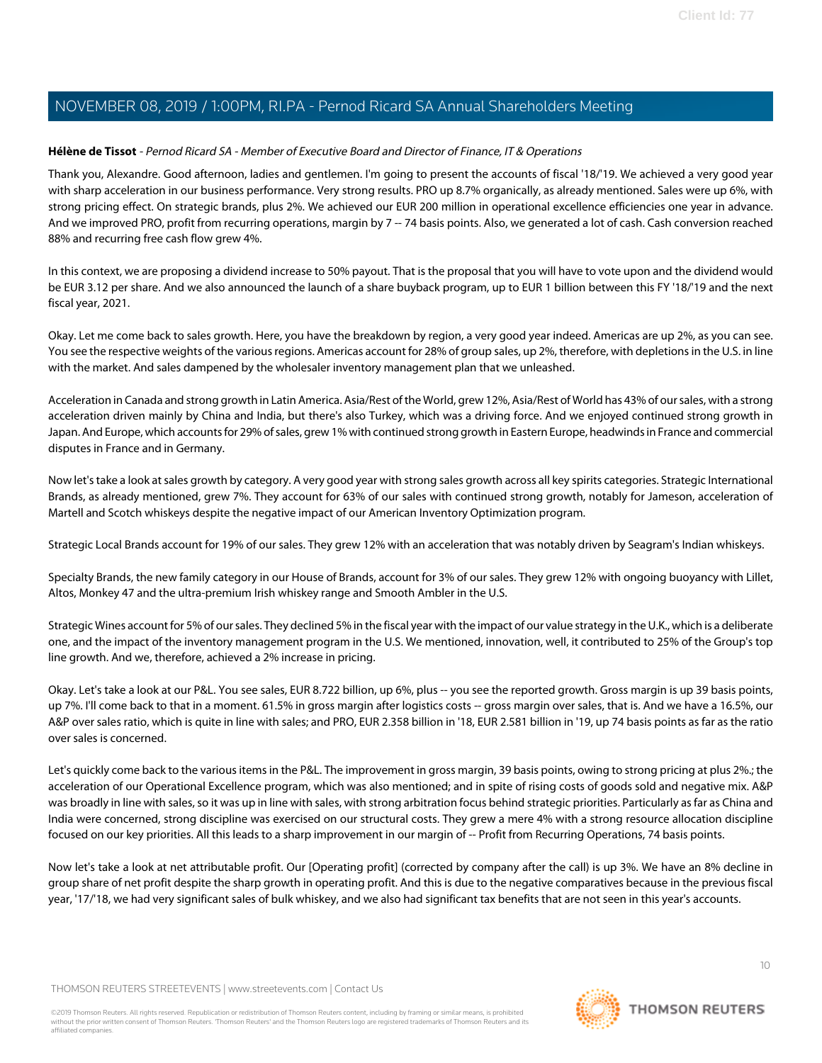### <span id="page-9-0"></span>**Hélène de Tissot** - Pernod Ricard SA - Member of Executive Board and Director of Finance, IT & Operations

Thank you, Alexandre. Good afternoon, ladies and gentlemen. I'm going to present the accounts of fiscal '18/'19. We achieved a very good year with sharp acceleration in our business performance. Very strong results. PRO up 8.7% organically, as already mentioned. Sales were up 6%, with strong pricing effect. On strategic brands, plus 2%. We achieved our EUR 200 million in operational excellence efficiencies one year in advance. And we improved PRO, profit from recurring operations, margin by 7 -- 74 basis points. Also, we generated a lot of cash. Cash conversion reached 88% and recurring free cash flow grew 4%.

In this context, we are proposing a dividend increase to 50% payout. That is the proposal that you will have to vote upon and the dividend would be EUR 3.12 per share. And we also announced the launch of a share buyback program, up to EUR 1 billion between this FY '18/'19 and the next fiscal year, 2021.

Okay. Let me come back to sales growth. Here, you have the breakdown by region, a very good year indeed. Americas are up 2%, as you can see. You see the respective weights of the various regions. Americas account for 28% of group sales, up 2%, therefore, with depletions in the U.S. in line with the market. And sales dampened by the wholesaler inventory management plan that we unleashed.

Acceleration in Canada and strong growth in Latin America. Asia/Rest of the World, grew 12%, Asia/Rest of World has 43% of our sales, with a strong acceleration driven mainly by China and India, but there's also Turkey, which was a driving force. And we enjoyed continued strong growth in Japan. And Europe, which accounts for 29% of sales, grew 1% with continued strong growth in Eastern Europe, headwinds in France and commercial disputes in France and in Germany.

Now let's take a look at sales growth by category. A very good year with strong sales growth across all key spirits categories. Strategic International Brands, as already mentioned, grew 7%. They account for 63% of our sales with continued strong growth, notably for Jameson, acceleration of Martell and Scotch whiskeys despite the negative impact of our American Inventory Optimization program.

Strategic Local Brands account for 19% of our sales. They grew 12% with an acceleration that was notably driven by Seagram's Indian whiskeys.

Specialty Brands, the new family category in our House of Brands, account for 3% of our sales. They grew 12% with ongoing buoyancy with Lillet, Altos, Monkey 47 and the ultra-premium Irish whiskey range and Smooth Ambler in the U.S.

Strategic Wines account for 5% of our sales. They declined 5% in the fiscal year with the impact of our value strategy in the U.K., which is a deliberate one, and the impact of the inventory management program in the U.S. We mentioned, innovation, well, it contributed to 25% of the Group's top line growth. And we, therefore, achieved a 2% increase in pricing.

Okay. Let's take a look at our P&L. You see sales, EUR 8.722 billion, up 6%, plus -- you see the reported growth. Gross margin is up 39 basis points, up 7%. I'll come back to that in a moment. 61.5% in gross margin after logistics costs -- gross margin over sales, that is. And we have a 16.5%, our A&P over sales ratio, which is quite in line with sales; and PRO, EUR 2.358 billion in '18, EUR 2.581 billion in '19, up 74 basis points as far as the ratio over sales is concerned.

Let's quickly come back to the various items in the P&L. The improvement in gross margin, 39 basis points, owing to strong pricing at plus 2%.; the acceleration of our Operational Excellence program, which was also mentioned; and in spite of rising costs of goods sold and negative mix. A&P was broadly in line with sales, so it was up in line with sales, with strong arbitration focus behind strategic priorities. Particularly as far as China and India were concerned, strong discipline was exercised on our structural costs. They grew a mere 4% with a strong resource allocation discipline focused on our key priorities. All this leads to a sharp improvement in our margin of -- Profit from Recurring Operations, 74 basis points.

Now let's take a look at net attributable profit. Our [Operating profit] (corrected by company after the call) is up 3%. We have an 8% decline in group share of net profit despite the sharp growth in operating profit. And this is due to the negative comparatives because in the previous fiscal year, '17/'18, we had very significant sales of bulk whiskey, and we also had significant tax benefits that are not seen in this year's accounts.

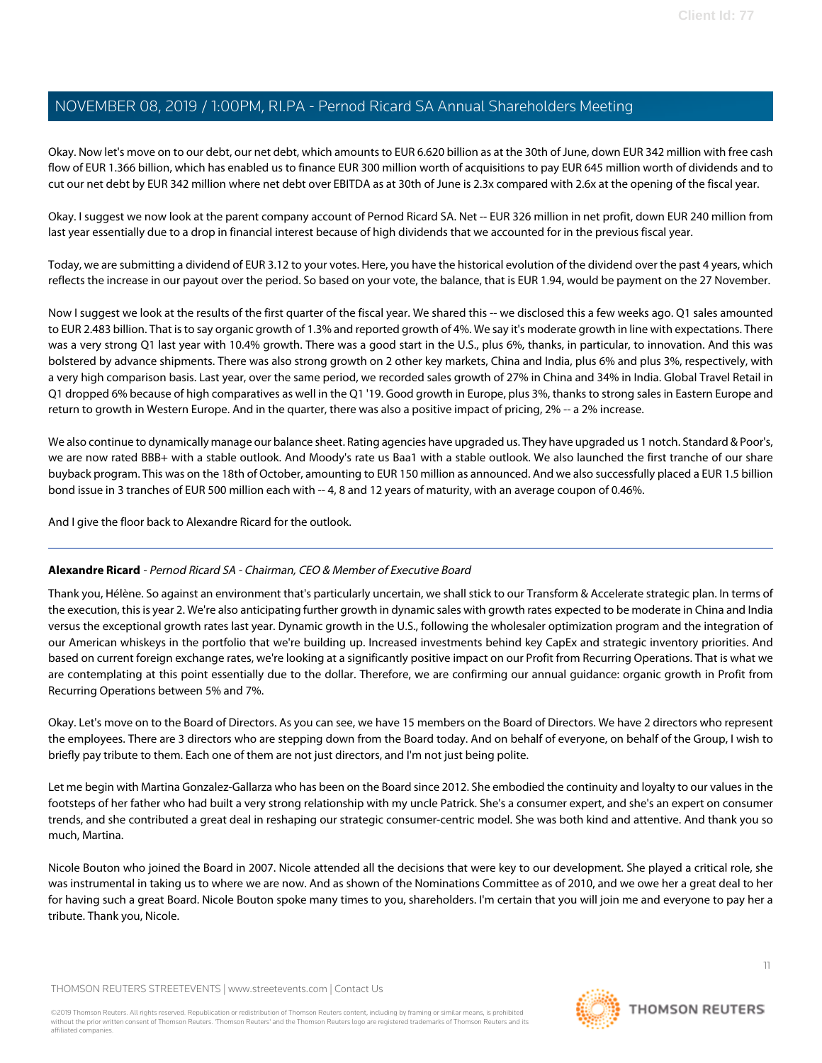Okay. Now let's move on to our debt, our net debt, which amounts to EUR 6.620 billion as at the 30th of June, down EUR 342 million with free cash flow of EUR 1.366 billion, which has enabled us to finance EUR 300 million worth of acquisitions to pay EUR 645 million worth of dividends and to cut our net debt by EUR 342 million where net debt over EBITDA as at 30th of June is 2.3x compared with 2.6x at the opening of the fiscal year.

Okay. I suggest we now look at the parent company account of Pernod Ricard SA. Net -- EUR 326 million in net profit, down EUR 240 million from last year essentially due to a drop in financial interest because of high dividends that we accounted for in the previous fiscal year.

Today, we are submitting a dividend of EUR 3.12 to your votes. Here, you have the historical evolution of the dividend over the past 4 years, which reflects the increase in our payout over the period. So based on your vote, the balance, that is EUR 1.94, would be payment on the 27 November.

Now I suggest we look at the results of the first quarter of the fiscal year. We shared this -- we disclosed this a few weeks ago. Q1 sales amounted to EUR 2.483 billion. That is to say organic growth of 1.3% and reported growth of 4%. We say it's moderate growth in line with expectations. There was a very strong Q1 last year with 10.4% growth. There was a good start in the U.S., plus 6%, thanks, in particular, to innovation. And this was bolstered by advance shipments. There was also strong growth on 2 other key markets, China and India, plus 6% and plus 3%, respectively, with a very high comparison basis. Last year, over the same period, we recorded sales growth of 27% in China and 34% in India. Global Travel Retail in Q1 dropped 6% because of high comparatives as well in the Q1 '19. Good growth in Europe, plus 3%, thanks to strong sales in Eastern Europe and return to growth in Western Europe. And in the quarter, there was also a positive impact of pricing, 2% -- a 2% increase.

We also continue to dynamically manage our balance sheet. Rating agencies have upgraded us. They have upgraded us 1 notch. Standard & Poor's, we are now rated BBB+ with a stable outlook. And Moody's rate us Baa1 with a stable outlook. We also launched the first tranche of our share buyback program. This was on the 18th of October, amounting to EUR 150 million as announced. And we also successfully placed a EUR 1.5 billion bond issue in 3 tranches of EUR 500 million each with -- 4, 8 and 12 years of maturity, with an average coupon of 0.46%.

And I give the floor back to Alexandre Ricard for the outlook.

### **Alexandre Ricard** - Pernod Ricard SA - Chairman, CEO & Member of Executive Board

Thank you, Hélène. So against an environment that's particularly uncertain, we shall stick to our Transform & Accelerate strategic plan. In terms of the execution, this is year 2. We're also anticipating further growth in dynamic sales with growth rates expected to be moderate in China and India versus the exceptional growth rates last year. Dynamic growth in the U.S., following the wholesaler optimization program and the integration of our American whiskeys in the portfolio that we're building up. Increased investments behind key CapEx and strategic inventory priorities. And based on current foreign exchange rates, we're looking at a significantly positive impact on our Profit from Recurring Operations. That is what we are contemplating at this point essentially due to the dollar. Therefore, we are confirming our annual guidance: organic growth in Profit from Recurring Operations between 5% and 7%.

Okay. Let's move on to the Board of Directors. As you can see, we have 15 members on the Board of Directors. We have 2 directors who represent the employees. There are 3 directors who are stepping down from the Board today. And on behalf of everyone, on behalf of the Group, I wish to briefly pay tribute to them. Each one of them are not just directors, and I'm not just being polite.

Let me begin with Martina Gonzalez-Gallarza who has been on the Board since 2012. She embodied the continuity and loyalty to our values in the footsteps of her father who had built a very strong relationship with my uncle Patrick. She's a consumer expert, and she's an expert on consumer trends, and she contributed a great deal in reshaping our strategic consumer-centric model. She was both kind and attentive. And thank you so much, Martina.

Nicole Bouton who joined the Board in 2007. Nicole attended all the decisions that were key to our development. She played a critical role, she was instrumental in taking us to where we are now. And as shown of the Nominations Committee as of 2010, and we owe her a great deal to her for having such a great Board. Nicole Bouton spoke many times to you, shareholders. I'm certain that you will join me and everyone to pay her a tribute. Thank you, Nicole.

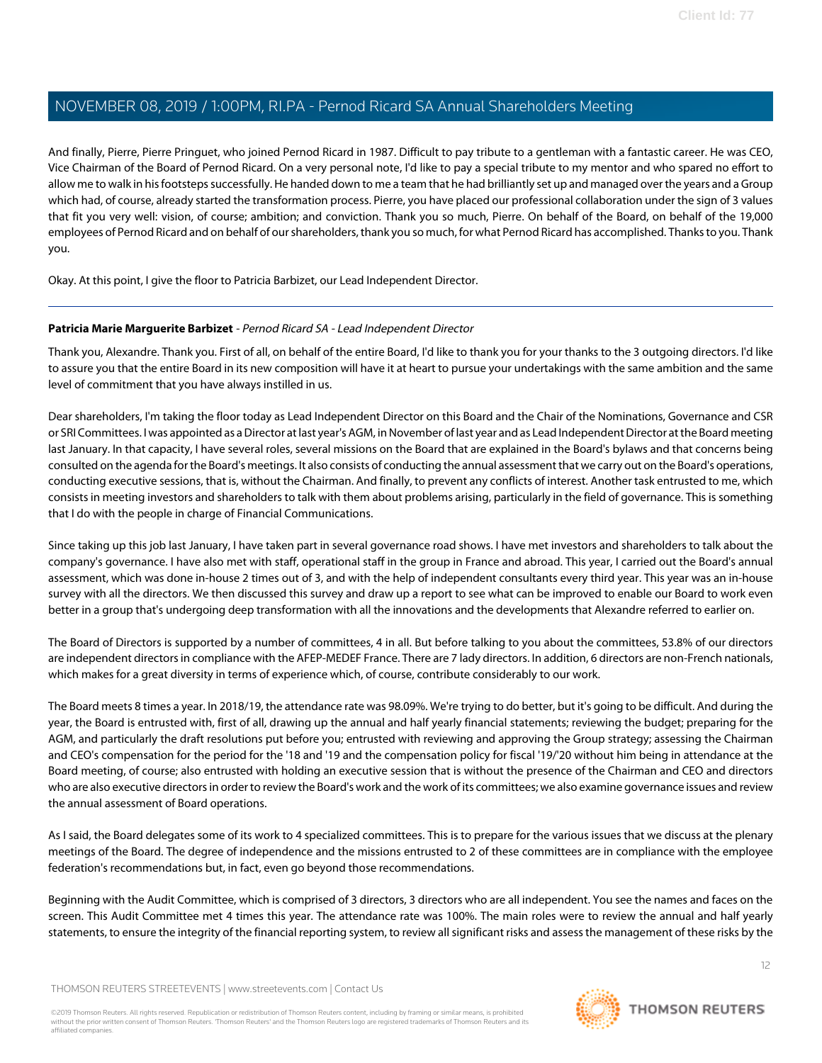And finally, Pierre, Pierre Pringuet, who joined Pernod Ricard in 1987. Difficult to pay tribute to a gentleman with a fantastic career. He was CEO, Vice Chairman of the Board of Pernod Ricard. On a very personal note, I'd like to pay a special tribute to my mentor and who spared no effort to allow me to walk in his footsteps successfully. He handed down to me a team that he had brilliantly set up and managed over the years and a Group which had, of course, already started the transformation process. Pierre, you have placed our professional collaboration under the sign of 3 values that fit you very well: vision, of course; ambition; and conviction. Thank you so much, Pierre. On behalf of the Board, on behalf of the 19,000 employees of Pernod Ricard and on behalf of our shareholders, thank you so much, for what Pernod Ricard has accomplished. Thanks to you. Thank you.

<span id="page-11-0"></span>Okay. At this point, I give the floor to Patricia Barbizet, our Lead Independent Director.

### **Patricia Marie Marguerite Barbizet** - Pernod Ricard SA - Lead Independent Director

Thank you, Alexandre. Thank you. First of all, on behalf of the entire Board, I'd like to thank you for your thanks to the 3 outgoing directors. I'd like to assure you that the entire Board in its new composition will have it at heart to pursue your undertakings with the same ambition and the same level of commitment that you have always instilled in us.

Dear shareholders, I'm taking the floor today as Lead Independent Director on this Board and the Chair of the Nominations, Governance and CSR or SRI Committees. I was appointed as a Director at last year's AGM, in November of last year and as Lead Independent Director at the Board meeting last January. In that capacity, I have several roles, several missions on the Board that are explained in the Board's bylaws and that concerns being consulted on the agenda for the Board's meetings. It also consists of conducting the annual assessment that we carry out on the Board's operations, conducting executive sessions, that is, without the Chairman. And finally, to prevent any conflicts of interest. Another task entrusted to me, which consists in meeting investors and shareholders to talk with them about problems arising, particularly in the field of governance. This is something that I do with the people in charge of Financial Communications.

Since taking up this job last January, I have taken part in several governance road shows. I have met investors and shareholders to talk about the company's governance. I have also met with staff, operational staff in the group in France and abroad. This year, I carried out the Board's annual assessment, which was done in-house 2 times out of 3, and with the help of independent consultants every third year. This year was an in-house survey with all the directors. We then discussed this survey and draw up a report to see what can be improved to enable our Board to work even better in a group that's undergoing deep transformation with all the innovations and the developments that Alexandre referred to earlier on.

The Board of Directors is supported by a number of committees, 4 in all. But before talking to you about the committees, 53.8% of our directors are independent directors in compliance with the AFEP-MEDEF France. There are 7 lady directors. In addition, 6 directors are non-French nationals, which makes for a great diversity in terms of experience which, of course, contribute considerably to our work.

The Board meets 8 times a year. In 2018/19, the attendance rate was 98.09%. We're trying to do better, but it's going to be difficult. And during the year, the Board is entrusted with, first of all, drawing up the annual and half yearly financial statements; reviewing the budget; preparing for the AGM, and particularly the draft resolutions put before you; entrusted with reviewing and approving the Group strategy; assessing the Chairman and CEO's compensation for the period for the '18 and '19 and the compensation policy for fiscal '19/'20 without him being in attendance at the Board meeting, of course; also entrusted with holding an executive session that is without the presence of the Chairman and CEO and directors who are also executive directors in order to review the Board's work and the work of its committees; we also examine governance issues and review the annual assessment of Board operations.

As I said, the Board delegates some of its work to 4 specialized committees. This is to prepare for the various issues that we discuss at the plenary meetings of the Board. The degree of independence and the missions entrusted to 2 of these committees are in compliance with the employee federation's recommendations but, in fact, even go beyond those recommendations.

Beginning with the Audit Committee, which is comprised of 3 directors, 3 directors who are all independent. You see the names and faces on the screen. This Audit Committee met 4 times this year. The attendance rate was 100%. The main roles were to review the annual and half yearly statements, to ensure the integrity of the financial reporting system, to review all significant risks and assess the management of these risks by the

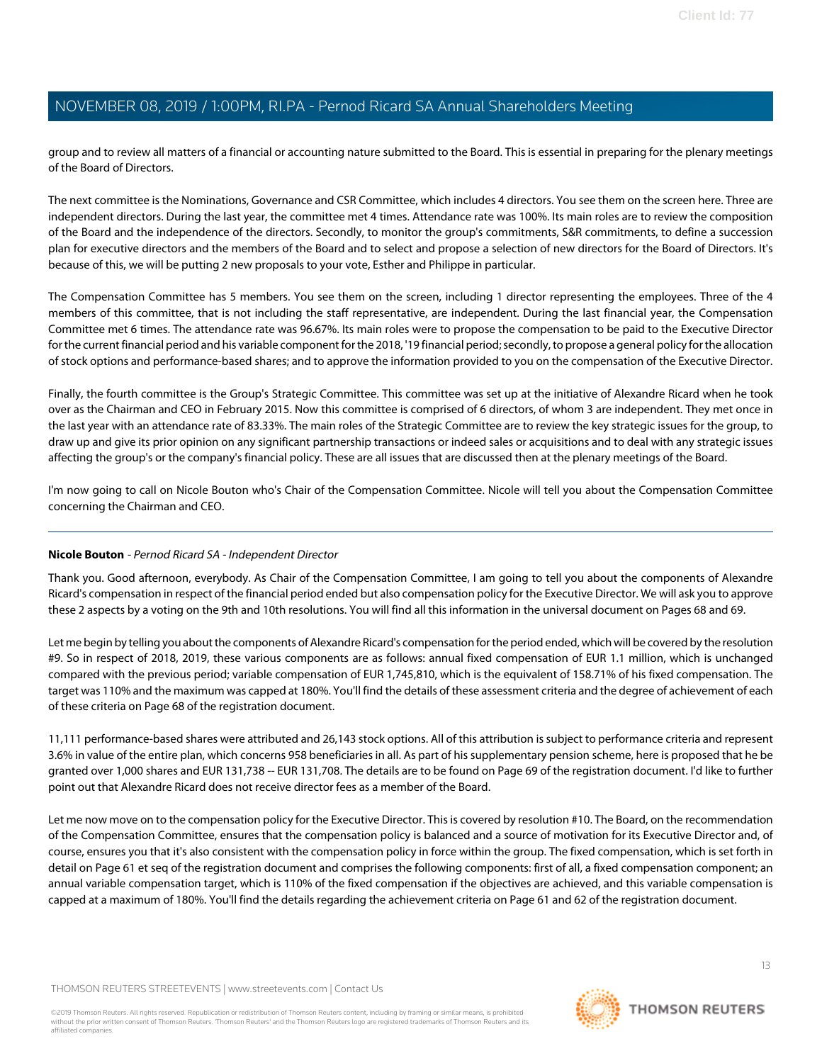group and to review all matters of a financial or accounting nature submitted to the Board. This is essential in preparing for the plenary meetings of the Board of Directors.

The next committee is the Nominations, Governance and CSR Committee, which includes 4 directors. You see them on the screen here. Three are independent directors. During the last year, the committee met 4 times. Attendance rate was 100%. Its main roles are to review the composition of the Board and the independence of the directors. Secondly, to monitor the group's commitments, S&R commitments, to define a succession plan for executive directors and the members of the Board and to select and propose a selection of new directors for the Board of Directors. It's because of this, we will be putting 2 new proposals to your vote, Esther and Philippe in particular.

The Compensation Committee has 5 members. You see them on the screen, including 1 director representing the employees. Three of the 4 members of this committee, that is not including the staff representative, are independent. During the last financial year, the Compensation Committee met 6 times. The attendance rate was 96.67%. Its main roles were to propose the compensation to be paid to the Executive Director for the current financial period and his variable component for the 2018, '19 financial period; secondly, to propose a general policy for the allocation of stock options and performance-based shares; and to approve the information provided to you on the compensation of the Executive Director.

Finally, the fourth committee is the Group's Strategic Committee. This committee was set up at the initiative of Alexandre Ricard when he took over as the Chairman and CEO in February 2015. Now this committee is comprised of 6 directors, of whom 3 are independent. They met once in the last year with an attendance rate of 83.33%. The main roles of the Strategic Committee are to review the key strategic issues for the group, to draw up and give its prior opinion on any significant partnership transactions or indeed sales or acquisitions and to deal with any strategic issues affecting the group's or the company's financial policy. These are all issues that are discussed then at the plenary meetings of the Board.

<span id="page-12-0"></span>I'm now going to call on Nicole Bouton who's Chair of the Compensation Committee. Nicole will tell you about the Compensation Committee concerning the Chairman and CEO.

### **Nicole Bouton** - Pernod Ricard SA - Independent Director

Thank you. Good afternoon, everybody. As Chair of the Compensation Committee, I am going to tell you about the components of Alexandre Ricard's compensation in respect of the financial period ended but also compensation policy for the Executive Director. We will ask you to approve these 2 aspects by a voting on the 9th and 10th resolutions. You will find all this information in the universal document on Pages 68 and 69.

Let me begin by telling you about the components of Alexandre Ricard's compensation for the period ended, which will be covered by the resolution #9. So in respect of 2018, 2019, these various components are as follows: annual fixed compensation of EUR 1.1 million, which is unchanged compared with the previous period; variable compensation of EUR 1,745,810, which is the equivalent of 158.71% of his fixed compensation. The target was 110% and the maximum was capped at 180%. You'll find the details of these assessment criteria and the degree of achievement of each of these criteria on Page 68 of the registration document.

11,111 performance-based shares were attributed and 26,143 stock options. All of this attribution is subject to performance criteria and represent 3.6% in value of the entire plan, which concerns 958 beneficiaries in all. As part of his supplementary pension scheme, here is proposed that he be granted over 1,000 shares and EUR 131,738 -- EUR 131,708. The details are to be found on Page 69 of the registration document. I'd like to further point out that Alexandre Ricard does not receive director fees as a member of the Board.

Let me now move on to the compensation policy for the Executive Director. This is covered by resolution #10. The Board, on the recommendation of the Compensation Committee, ensures that the compensation policy is balanced and a source of motivation for its Executive Director and, of course, ensures you that it's also consistent with the compensation policy in force within the group. The fixed compensation, which is set forth in detail on Page 61 et seq of the registration document and comprises the following components: first of all, a fixed compensation component; an annual variable compensation target, which is 110% of the fixed compensation if the objectives are achieved, and this variable compensation is capped at a maximum of 180%. You'll find the details regarding the achievement criteria on Page 61 and 62 of the registration document.

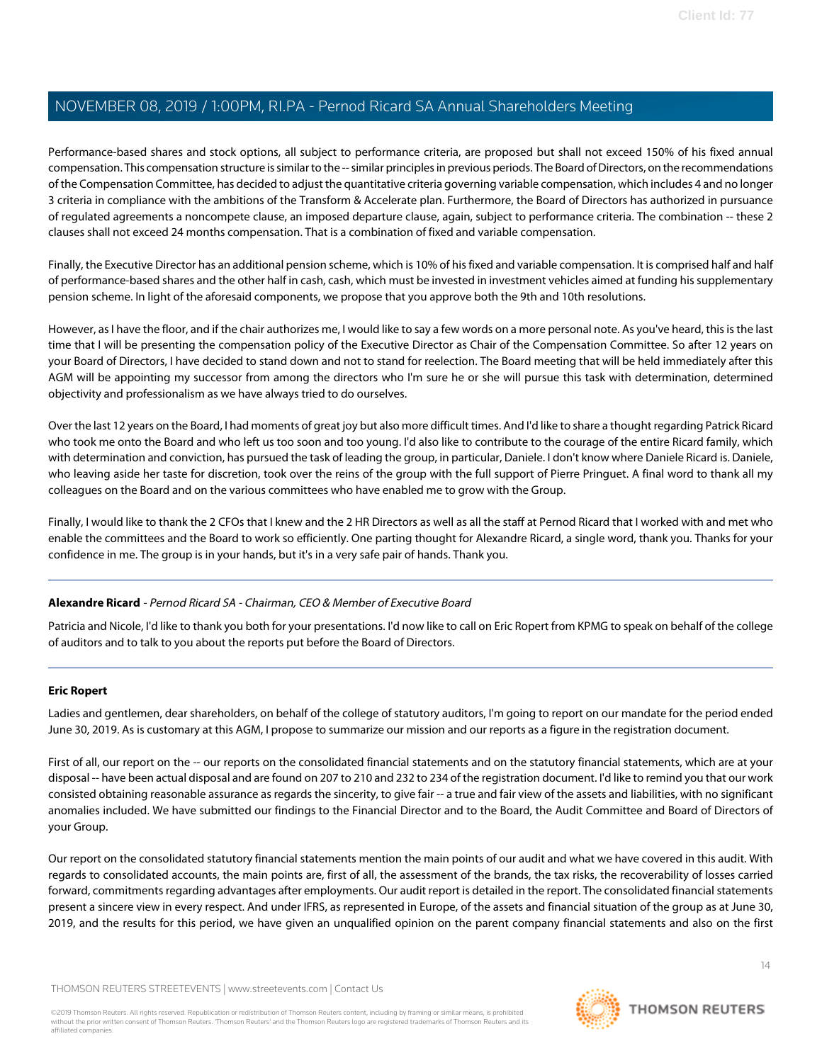Performance-based shares and stock options, all subject to performance criteria, are proposed but shall not exceed 150% of his fixed annual compensation. This compensation structure is similar to the -- similar principles in previous periods. The Board of Directors, on the recommendations of the Compensation Committee, has decided to adjust the quantitative criteria governing variable compensation, which includes 4 and no longer 3 criteria in compliance with the ambitions of the Transform & Accelerate plan. Furthermore, the Board of Directors has authorized in pursuance of regulated agreements a noncompete clause, an imposed departure clause, again, subject to performance criteria. The combination -- these 2 clauses shall not exceed 24 months compensation. That is a combination of fixed and variable compensation.

Finally, the Executive Director has an additional pension scheme, which is 10% of his fixed and variable compensation. It is comprised half and half of performance-based shares and the other half in cash, cash, which must be invested in investment vehicles aimed at funding his supplementary pension scheme. In light of the aforesaid components, we propose that you approve both the 9th and 10th resolutions.

However, as I have the floor, and if the chair authorizes me, I would like to say a few words on a more personal note. As you've heard, this is the last time that I will be presenting the compensation policy of the Executive Director as Chair of the Compensation Committee. So after 12 years on your Board of Directors, I have decided to stand down and not to stand for reelection. The Board meeting that will be held immediately after this AGM will be appointing my successor from among the directors who I'm sure he or she will pursue this task with determination, determined objectivity and professionalism as we have always tried to do ourselves.

Over the last 12 years on the Board, I had moments of great joy but also more difficult times. And I'd like to share a thought regarding Patrick Ricard who took me onto the Board and who left us too soon and too young. I'd also like to contribute to the courage of the entire Ricard family, which with determination and conviction, has pursued the task of leading the group, in particular, Daniele. I don't know where Daniele Ricard is. Daniele, who leaving aside her taste for discretion, took over the reins of the group with the full support of Pierre Pringuet. A final word to thank all my colleagues on the Board and on the various committees who have enabled me to grow with the Group.

Finally, I would like to thank the 2 CFOs that I knew and the 2 HR Directors as well as all the staff at Pernod Ricard that I worked with and met who enable the committees and the Board to work so efficiently. One parting thought for Alexandre Ricard, a single word, thank you. Thanks for your confidence in me. The group is in your hands, but it's in a very safe pair of hands. Thank you.

### **Alexandre Ricard** - Pernod Ricard SA - Chairman, CEO & Member of Executive Board

<span id="page-13-0"></span>Patricia and Nicole, I'd like to thank you both for your presentations. I'd now like to call on Eric Ropert from KPMG to speak on behalf of the college of auditors and to talk to you about the reports put before the Board of Directors.

### **Eric Ropert**

Ladies and gentlemen, dear shareholders, on behalf of the college of statutory auditors, I'm going to report on our mandate for the period ended June 30, 2019. As is customary at this AGM, I propose to summarize our mission and our reports as a figure in the registration document.

First of all, our report on the -- our reports on the consolidated financial statements and on the statutory financial statements, which are at your disposal -- have been actual disposal and are found on 207 to 210 and 232 to 234 of the registration document. I'd like to remind you that our work consisted obtaining reasonable assurance as regards the sincerity, to give fair -- a true and fair view of the assets and liabilities, with no significant anomalies included. We have submitted our findings to the Financial Director and to the Board, the Audit Committee and Board of Directors of your Group.

Our report on the consolidated statutory financial statements mention the main points of our audit and what we have covered in this audit. With regards to consolidated accounts, the main points are, first of all, the assessment of the brands, the tax risks, the recoverability of losses carried forward, commitments regarding advantages after employments. Our audit report is detailed in the report. The consolidated financial statements present a sincere view in every respect. And under IFRS, as represented in Europe, of the assets and financial situation of the group as at June 30, 2019, and the results for this period, we have given an unqualified opinion on the parent company financial statements and also on the first

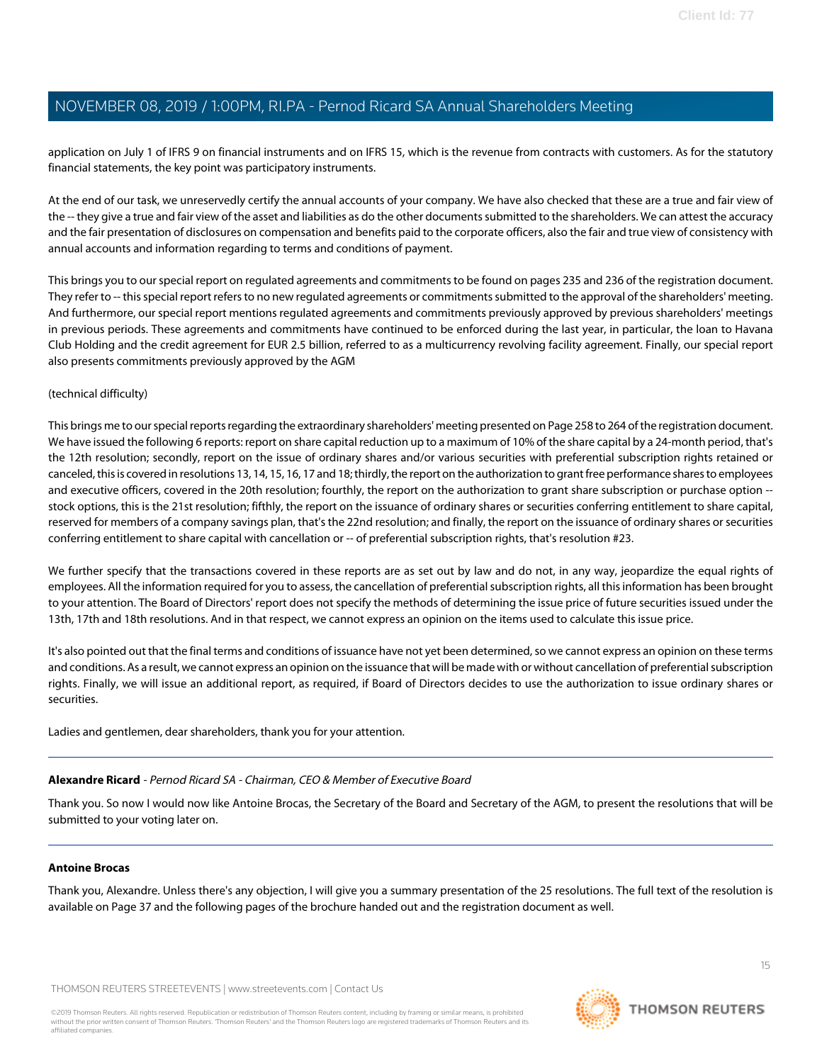application on July 1 of IFRS 9 on financial instruments and on IFRS 15, which is the revenue from contracts with customers. As for the statutory financial statements, the key point was participatory instruments.

At the end of our task, we unreservedly certify the annual accounts of your company. We have also checked that these are a true and fair view of the -- they give a true and fair view of the asset and liabilities as do the other documents submitted to the shareholders. We can attest the accuracy and the fair presentation of disclosures on compensation and benefits paid to the corporate officers, also the fair and true view of consistency with annual accounts and information regarding to terms and conditions of payment.

This brings you to our special report on regulated agreements and commitments to be found on pages 235 and 236 of the registration document. They refer to -- this special report refers to no new regulated agreements or commitments submitted to the approval of the shareholders' meeting. And furthermore, our special report mentions regulated agreements and commitments previously approved by previous shareholders' meetings in previous periods. These agreements and commitments have continued to be enforced during the last year, in particular, the loan to Havana Club Holding and the credit agreement for EUR 2.5 billion, referred to as a multicurrency revolving facility agreement. Finally, our special report also presents commitments previously approved by the AGM

### (technical difficulty)

This brings me to our special reports regarding the extraordinary shareholders' meeting presented on Page 258 to 264 of the registration document. We have issued the following 6 reports: report on share capital reduction up to a maximum of 10% of the share capital by a 24-month period, that's the 12th resolution; secondly, report on the issue of ordinary shares and/or various securities with preferential subscription rights retained or canceled, this is covered in resolutions 13, 14, 15, 16, 17 and 18; thirdly, the report on the authorization to grant free performance shares to employees and executive officers, covered in the 20th resolution; fourthly, the report on the authorization to grant share subscription or purchase option -stock options, this is the 21st resolution; fifthly, the report on the issuance of ordinary shares or securities conferring entitlement to share capital, reserved for members of a company savings plan, that's the 22nd resolution; and finally, the report on the issuance of ordinary shares or securities conferring entitlement to share capital with cancellation or -- of preferential subscription rights, that's resolution #23.

We further specify that the transactions covered in these reports are as set out by law and do not, in any way, jeopardize the equal rights of employees. All the information required for you to assess, the cancellation of preferential subscription rights, all this information has been brought to your attention. The Board of Directors' report does not specify the methods of determining the issue price of future securities issued under the 13th, 17th and 18th resolutions. And in that respect, we cannot express an opinion on the items used to calculate this issue price.

It's also pointed out that the final terms and conditions of issuance have not yet been determined, so we cannot express an opinion on these terms and conditions. As a result, we cannot express an opinion on the issuance that will be made with or without cancellation of preferential subscription rights. Finally, we will issue an additional report, as required, if Board of Directors decides to use the authorization to issue ordinary shares or securities.

Ladies and gentlemen, dear shareholders, thank you for your attention.

### <span id="page-14-0"></span>**Alexandre Ricard** - Pernod Ricard SA - Chairman, CEO & Member of Executive Board

Thank you. So now I would now like Antoine Brocas, the Secretary of the Board and Secretary of the AGM, to present the resolutions that will be submitted to your voting later on.

### **Antoine Brocas**

Thank you, Alexandre. Unless there's any objection, I will give you a summary presentation of the 25 resolutions. The full text of the resolution is available on Page 37 and the following pages of the brochure handed out and the registration document as well.

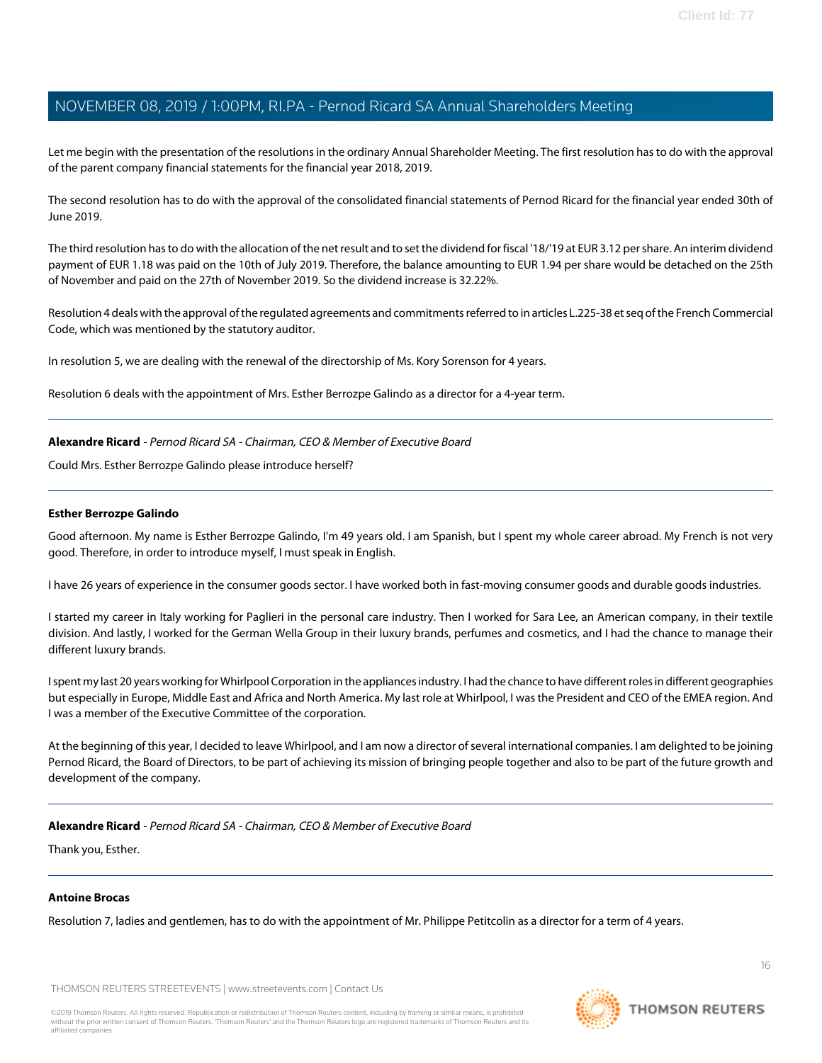Let me begin with the presentation of the resolutions in the ordinary Annual Shareholder Meeting. The first resolution has to do with the approval of the parent company financial statements for the financial year 2018, 2019.

The second resolution has to do with the approval of the consolidated financial statements of Pernod Ricard for the financial year ended 30th of June 2019.

The third resolution has to do with the allocation of the net result and to set the dividend for fiscal '18/'19 at EUR 3.12 per share. An interim dividend payment of EUR 1.18 was paid on the 10th of July 2019. Therefore, the balance amounting to EUR 1.94 per share would be detached on the 25th of November and paid on the 27th of November 2019. So the dividend increase is 32.22%.

Resolution 4 deals with the approval of the regulated agreements and commitments referred to in articles L.225-38 et seq of the French Commercial Code, which was mentioned by the statutory auditor.

In resolution 5, we are dealing with the renewal of the directorship of Ms. Kory Sorenson for 4 years.

Resolution 6 deals with the appointment of Mrs. Esther Berrozpe Galindo as a director for a 4-year term.

### **Alexandre Ricard** - Pernod Ricard SA - Chairman, CEO & Member of Executive Board

<span id="page-15-0"></span>Could Mrs. Esther Berrozpe Galindo please introduce herself?

### **Esther Berrozpe Galindo**

Good afternoon. My name is Esther Berrozpe Galindo, I'm 49 years old. I am Spanish, but I spent my whole career abroad. My French is not very good. Therefore, in order to introduce myself, I must speak in English.

I have 26 years of experience in the consumer goods sector. I have worked both in fast-moving consumer goods and durable goods industries.

I started my career in Italy working for Paglieri in the personal care industry. Then I worked for Sara Lee, an American company, in their textile division. And lastly, I worked for the German Wella Group in their luxury brands, perfumes and cosmetics, and I had the chance to manage their different luxury brands.

I spent my last 20 years working for Whirlpool Corporation in the appliances industry. I had the chance to have different roles in different geographies but especially in Europe, Middle East and Africa and North America. My last role at Whirlpool, I was the President and CEO of the EMEA region. And I was a member of the Executive Committee of the corporation.

At the beginning of this year, I decided to leave Whirlpool, and I am now a director of several international companies. I am delighted to be joining Pernod Ricard, the Board of Directors, to be part of achieving its mission of bringing people together and also to be part of the future growth and development of the company.

**Alexandre Ricard** - Pernod Ricard SA - Chairman, CEO & Member of Executive Board

Thank you, Esther.

### **Antoine Brocas**

Resolution 7, ladies and gentlemen, has to do with the appointment of Mr. Philippe Petitcolin as a director for a term of 4 years.

THOMSON REUTERS STREETEVENTS | [www.streetevents.com](http://www.streetevents.com) | [Contact Us](http://www010.streetevents.com/contact.asp)



**THOMSON REUTERS**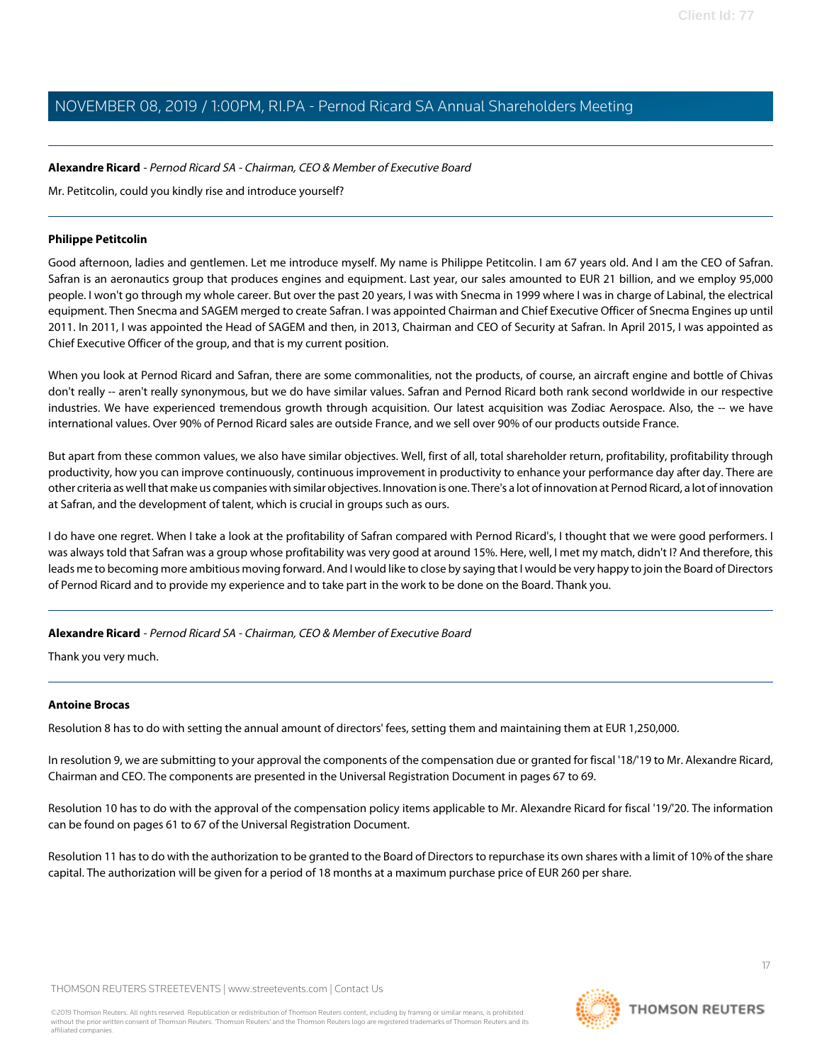**Alexandre Ricard** - Pernod Ricard SA - Chairman, CEO & Member of Executive Board

Mr. Petitcolin, could you kindly rise and introduce yourself?

### <span id="page-16-0"></span>**Philippe Petitcolin**

Good afternoon, ladies and gentlemen. Let me introduce myself. My name is Philippe Petitcolin. I am 67 years old. And I am the CEO of Safran. Safran is an aeronautics group that produces engines and equipment. Last year, our sales amounted to EUR 21 billion, and we employ 95,000 people. I won't go through my whole career. But over the past 20 years, I was with Snecma in 1999 where I was in charge of Labinal, the electrical equipment. Then Snecma and SAGEM merged to create Safran. I was appointed Chairman and Chief Executive Officer of Snecma Engines up until 2011. In 2011, I was appointed the Head of SAGEM and then, in 2013, Chairman and CEO of Security at Safran. In April 2015, I was appointed as Chief Executive Officer of the group, and that is my current position.

When you look at Pernod Ricard and Safran, there are some commonalities, not the products, of course, an aircraft engine and bottle of Chivas don't really -- aren't really synonymous, but we do have similar values. Safran and Pernod Ricard both rank second worldwide in our respective industries. We have experienced tremendous growth through acquisition. Our latest acquisition was Zodiac Aerospace. Also, the -- we have international values. Over 90% of Pernod Ricard sales are outside France, and we sell over 90% of our products outside France.

But apart from these common values, we also have similar objectives. Well, first of all, total shareholder return, profitability, profitability through productivity, how you can improve continuously, continuous improvement in productivity to enhance your performance day after day. There are other criteria as well that make us companies with similar objectives. Innovation is one. There's a lot of innovation at Pernod Ricard, a lot of innovation at Safran, and the development of talent, which is crucial in groups such as ours.

I do have one regret. When I take a look at the profitability of Safran compared with Pernod Ricard's, I thought that we were good performers. I was always told that Safran was a group whose profitability was very good at around 15%. Here, well, I met my match, didn't I? And therefore, this leads me to becoming more ambitious moving forward. And I would like to close by saying that I would be very happy to join the Board of Directors of Pernod Ricard and to provide my experience and to take part in the work to be done on the Board. Thank you.

**Alexandre Ricard** - Pernod Ricard SA - Chairman, CEO & Member of Executive Board

Thank you very much.

### **Antoine Brocas**

Resolution 8 has to do with setting the annual amount of directors' fees, setting them and maintaining them at EUR 1,250,000.

In resolution 9, we are submitting to your approval the components of the compensation due or granted for fiscal '18/'19 to Mr. Alexandre Ricard, Chairman and CEO. The components are presented in the Universal Registration Document in pages 67 to 69.

Resolution 10 has to do with the approval of the compensation policy items applicable to Mr. Alexandre Ricard for fiscal '19/'20. The information can be found on pages 61 to 67 of the Universal Registration Document.

Resolution 11 has to do with the authorization to be granted to the Board of Directors to repurchase its own shares with a limit of 10% of the share capital. The authorization will be given for a period of 18 months at a maximum purchase price of EUR 260 per share.

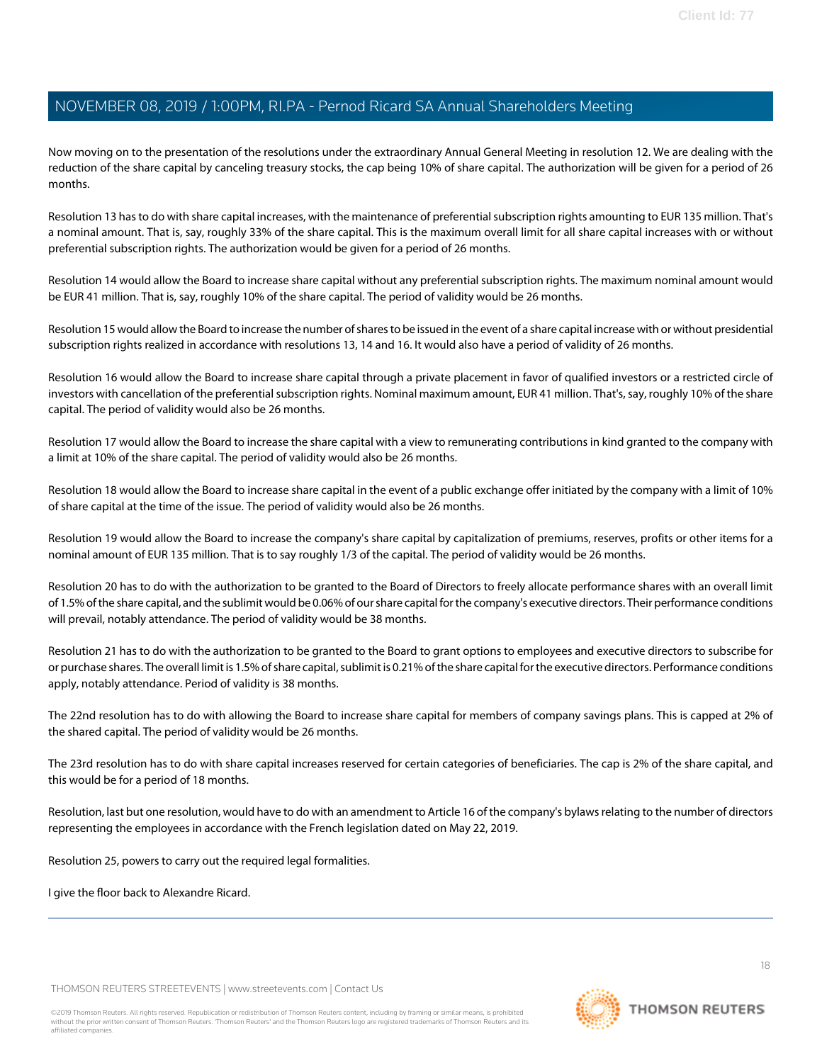Now moving on to the presentation of the resolutions under the extraordinary Annual General Meeting in resolution 12. We are dealing with the reduction of the share capital by canceling treasury stocks, the cap being 10% of share capital. The authorization will be given for a period of 26 months.

Resolution 13 has to do with share capital increases, with the maintenance of preferential subscription rights amounting to EUR 135 million. That's a nominal amount. That is, say, roughly 33% of the share capital. This is the maximum overall limit for all share capital increases with or without preferential subscription rights. The authorization would be given for a period of 26 months.

Resolution 14 would allow the Board to increase share capital without any preferential subscription rights. The maximum nominal amount would be EUR 41 million. That is, say, roughly 10% of the share capital. The period of validity would be 26 months.

Resolution 15 would allow the Board to increase the number of shares to be issued in the event of a share capital increase with or without presidential subscription rights realized in accordance with resolutions 13, 14 and 16. It would also have a period of validity of 26 months.

Resolution 16 would allow the Board to increase share capital through a private placement in favor of qualified investors or a restricted circle of investors with cancellation of the preferential subscription rights. Nominal maximum amount, EUR 41 million. That's, say, roughly 10% of the share capital. The period of validity would also be 26 months.

Resolution 17 would allow the Board to increase the share capital with a view to remunerating contributions in kind granted to the company with a limit at 10% of the share capital. The period of validity would also be 26 months.

Resolution 18 would allow the Board to increase share capital in the event of a public exchange offer initiated by the company with a limit of 10% of share capital at the time of the issue. The period of validity would also be 26 months.

Resolution 19 would allow the Board to increase the company's share capital by capitalization of premiums, reserves, profits or other items for a nominal amount of EUR 135 million. That is to say roughly 1/3 of the capital. The period of validity would be 26 months.

Resolution 20 has to do with the authorization to be granted to the Board of Directors to freely allocate performance shares with an overall limit of 1.5% of the share capital, and the sublimit would be 0.06% of our share capital for the company's executive directors. Their performance conditions will prevail, notably attendance. The period of validity would be 38 months.

Resolution 21 has to do with the authorization to be granted to the Board to grant options to employees and executive directors to subscribe for or purchase shares. The overall limit is 1.5% of share capital, sublimit is 0.21% of the share capital for the executive directors. Performance conditions apply, notably attendance. Period of validity is 38 months.

The 22nd resolution has to do with allowing the Board to increase share capital for members of company savings plans. This is capped at 2% of the shared capital. The period of validity would be 26 months.

The 23rd resolution has to do with share capital increases reserved for certain categories of beneficiaries. The cap is 2% of the share capital, and this would be for a period of 18 months.

Resolution, last but one resolution, would have to do with an amendment to Article 16 of the company's bylaws relating to the number of directors representing the employees in accordance with the French legislation dated on May 22, 2019.

Resolution 25, powers to carry out the required legal formalities.

I give the floor back to Alexandre Ricard.

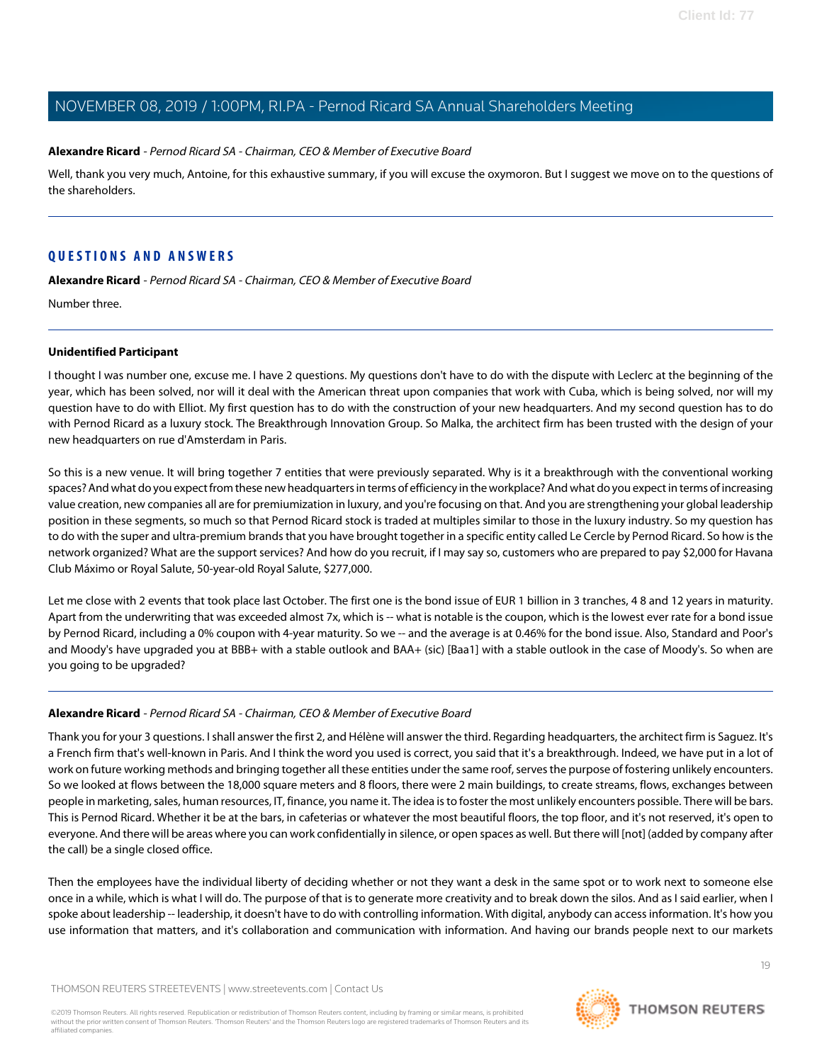### **Alexandre Ricard** - Pernod Ricard SA - Chairman, CEO & Member of Executive Board

Well, thank you very much, Antoine, for this exhaustive summary, if you will excuse the oxymoron. But I suggest we move on to the questions of the shareholders.

### **QUESTIONS AND ANSWERS**

**Alexandre Ricard** - Pernod Ricard SA - Chairman, CEO & Member of Executive Board

Number three.

### **Unidentified Participant**

I thought I was number one, excuse me. I have 2 questions. My questions don't have to do with the dispute with Leclerc at the beginning of the year, which has been solved, nor will it deal with the American threat upon companies that work with Cuba, which is being solved, nor will my question have to do with Elliot. My first question has to do with the construction of your new headquarters. And my second question has to do with Pernod Ricard as a luxury stock. The Breakthrough Innovation Group. So Malka, the architect firm has been trusted with the design of your new headquarters on rue d'Amsterdam in Paris.

So this is a new venue. It will bring together 7 entities that were previously separated. Why is it a breakthrough with the conventional working spaces? And what do you expect from these new headquarters in terms of efficiency in the workplace? And what do you expect in terms of increasing value creation, new companies all are for premiumization in luxury, and you're focusing on that. And you are strengthening your global leadership position in these segments, so much so that Pernod Ricard stock is traded at multiples similar to those in the luxury industry. So my question has to do with the super and ultra-premium brands that you have brought together in a specific entity called Le Cercle by Pernod Ricard. So how is the network organized? What are the support services? And how do you recruit, if I may say so, customers who are prepared to pay \$2,000 for Havana Club Máximo or Royal Salute, 50-year-old Royal Salute, \$277,000.

Let me close with 2 events that took place last October. The first one is the bond issue of EUR 1 billion in 3 tranches, 4 8 and 12 years in maturity. Apart from the underwriting that was exceeded almost 7x, which is -- what is notable is the coupon, which is the lowest ever rate for a bond issue by Pernod Ricard, including a 0% coupon with 4-year maturity. So we -- and the average is at 0.46% for the bond issue. Also, Standard and Poor's and Moody's have upgraded you at BBB+ with a stable outlook and BAA+ (sic) [Baa1] with a stable outlook in the case of Moody's. So when are you going to be upgraded?

### **Alexandre Ricard** - Pernod Ricard SA - Chairman, CEO & Member of Executive Board

Thank you for your 3 questions. I shall answer the first 2, and Hélène will answer the third. Regarding headquarters, the architect firm is Saguez. It's a French firm that's well-known in Paris. And I think the word you used is correct, you said that it's a breakthrough. Indeed, we have put in a lot of work on future working methods and bringing together all these entities under the same roof, serves the purpose of fostering unlikely encounters. So we looked at flows between the 18,000 square meters and 8 floors, there were 2 main buildings, to create streams, flows, exchanges between people in marketing, sales, human resources, IT, finance, you name it. The idea is to foster the most unlikely encounters possible. There will be bars. This is Pernod Ricard. Whether it be at the bars, in cafeterias or whatever the most beautiful floors, the top floor, and it's not reserved, it's open to everyone. And there will be areas where you can work confidentially in silence, or open spaces as well. But there will [not] (added by company after the call) be a single closed office.

Then the employees have the individual liberty of deciding whether or not they want a desk in the same spot or to work next to someone else once in a while, which is what I will do. The purpose of that is to generate more creativity and to break down the silos. And as I said earlier, when I spoke about leadership -- leadership, it doesn't have to do with controlling information. With digital, anybody can access information. It's how you use information that matters, and it's collaboration and communication with information. And having our brands people next to our markets

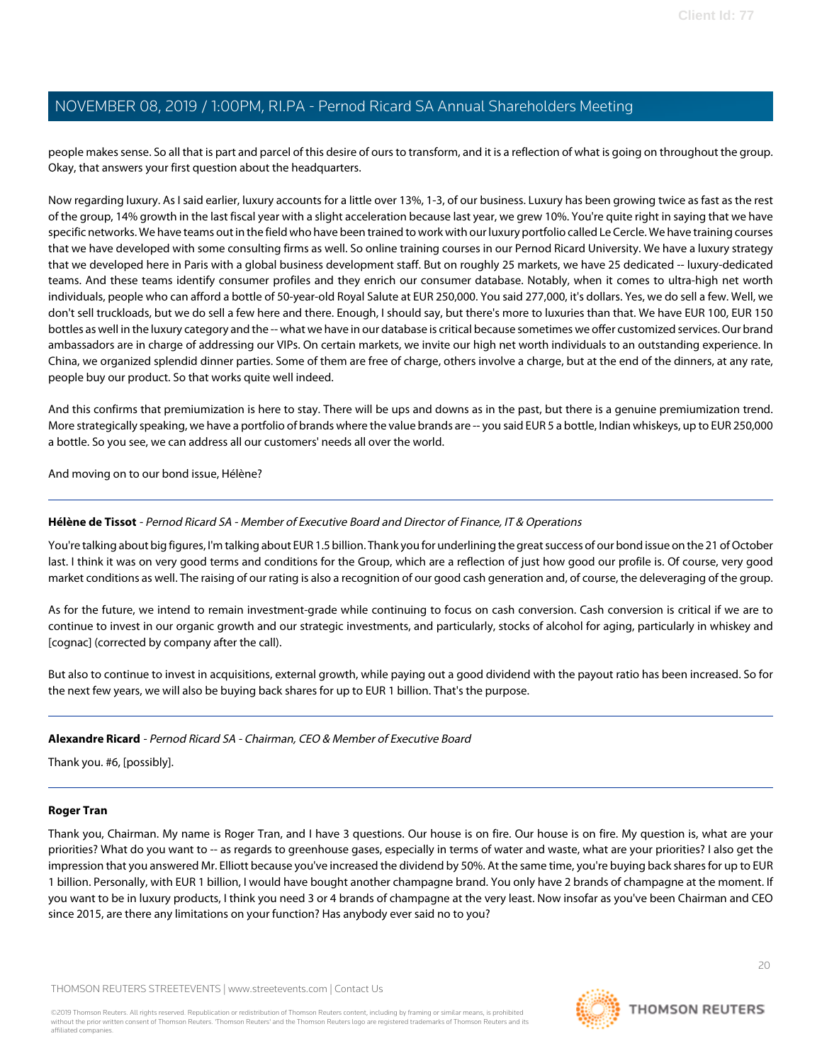people makes sense. So all that is part and parcel of this desire of ours to transform, and it is a reflection of what is going on throughout the group. Okay, that answers your first question about the headquarters.

Now regarding luxury. As I said earlier, luxury accounts for a little over 13%, 1-3, of our business. Luxury has been growing twice as fast as the rest of the group, 14% growth in the last fiscal year with a slight acceleration because last year, we grew 10%. You're quite right in saying that we have specific networks. We have teams out in the field who have been trained to work with our luxury portfolio called Le Cercle. We have training courses that we have developed with some consulting firms as well. So online training courses in our Pernod Ricard University. We have a luxury strategy that we developed here in Paris with a global business development staff. But on roughly 25 markets, we have 25 dedicated -- luxury-dedicated teams. And these teams identify consumer profiles and they enrich our consumer database. Notably, when it comes to ultra-high net worth individuals, people who can afford a bottle of 50-year-old Royal Salute at EUR 250,000. You said 277,000, it's dollars. Yes, we do sell a few. Well, we don't sell truckloads, but we do sell a few here and there. Enough, I should say, but there's more to luxuries than that. We have EUR 100, EUR 150 bottles as well in the luxury category and the -- what we have in our database is critical because sometimes we offer customized services. Our brand ambassadors are in charge of addressing our VIPs. On certain markets, we invite our high net worth individuals to an outstanding experience. In China, we organized splendid dinner parties. Some of them are free of charge, others involve a charge, but at the end of the dinners, at any rate, people buy our product. So that works quite well indeed.

And this confirms that premiumization is here to stay. There will be ups and downs as in the past, but there is a genuine premiumization trend. More strategically speaking, we have a portfolio of brands where the value brands are -- you said EUR 5 a bottle, Indian whiskeys, up to EUR 250,000 a bottle. So you see, we can address all our customers' needs all over the world.

And moving on to our bond issue, Hélène?

### **Hélène de Tissot** - Pernod Ricard SA - Member of Executive Board and Director of Finance, IT & Operations

You're talking about big figures, I'm talking about EUR 1.5 billion. Thank you for underlining the great success of our bond issue on the 21 of October last. I think it was on very good terms and conditions for the Group, which are a reflection of just how good our profile is. Of course, very good market conditions as well. The raising of our rating is also a recognition of our good cash generation and, of course, the deleveraging of the group.

As for the future, we intend to remain investment-grade while continuing to focus on cash conversion. Cash conversion is critical if we are to continue to invest in our organic growth and our strategic investments, and particularly, stocks of alcohol for aging, particularly in whiskey and [cognac] (corrected by company after the call).

But also to continue to invest in acquisitions, external growth, while paying out a good dividend with the payout ratio has been increased. So for the next few years, we will also be buying back shares for up to EUR 1 billion. That's the purpose.

### <span id="page-19-0"></span>**Alexandre Ricard** - Pernod Ricard SA - Chairman, CEO & Member of Executive Board

Thank you. #6, [possibly].

### **Roger Tran**

Thank you, Chairman. My name is Roger Tran, and I have 3 questions. Our house is on fire. Our house is on fire. My question is, what are your priorities? What do you want to -- as regards to greenhouse gases, especially in terms of water and waste, what are your priorities? I also get the impression that you answered Mr. Elliott because you've increased the dividend by 50%. At the same time, you're buying back shares for up to EUR 1 billion. Personally, with EUR 1 billion, I would have bought another champagne brand. You only have 2 brands of champagne at the moment. If you want to be in luxury products, I think you need 3 or 4 brands of champagne at the very least. Now insofar as you've been Chairman and CEO since 2015, are there any limitations on your function? Has anybody ever said no to you?

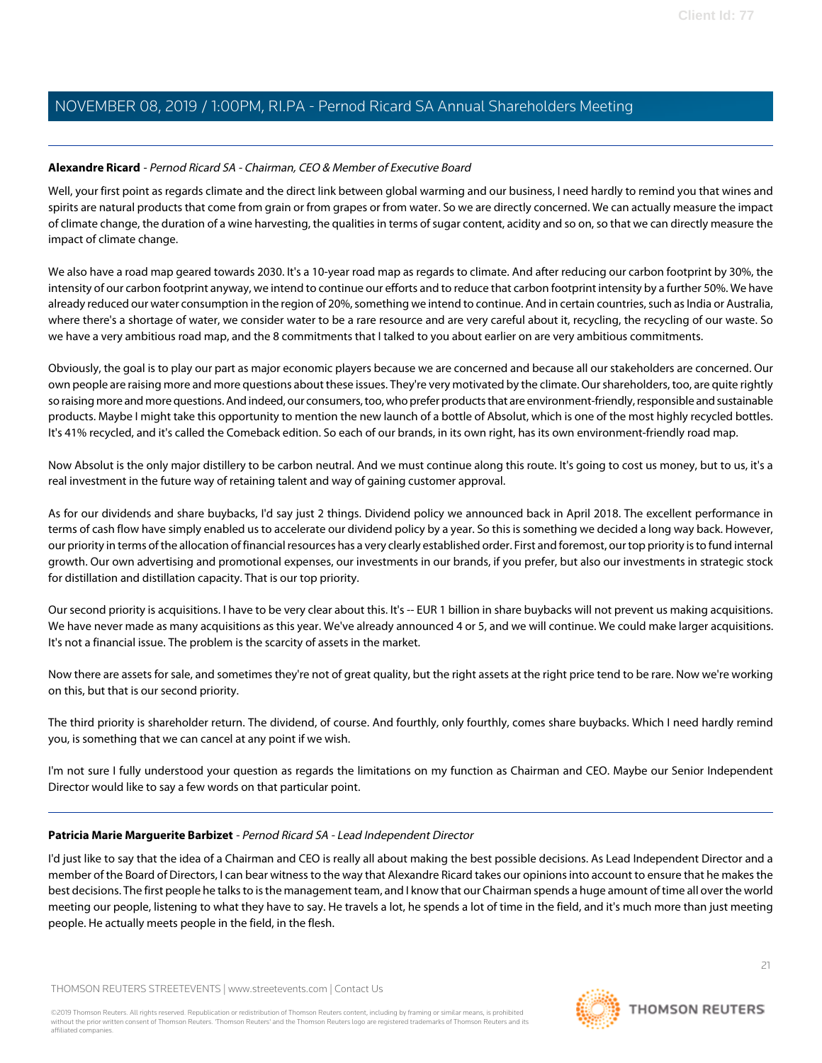### **Alexandre Ricard** - Pernod Ricard SA - Chairman, CEO & Member of Executive Board

Well, your first point as regards climate and the direct link between global warming and our business, I need hardly to remind you that wines and spirits are natural products that come from grain or from grapes or from water. So we are directly concerned. We can actually measure the impact of climate change, the duration of a wine harvesting, the qualities in terms of sugar content, acidity and so on, so that we can directly measure the impact of climate change.

We also have a road map geared towards 2030. It's a 10-year road map as regards to climate. And after reducing our carbon footprint by 30%, the intensity of our carbon footprint anyway, we intend to continue our efforts and to reduce that carbon footprint intensity by a further 50%. We have already reduced our water consumption in the region of 20%, something we intend to continue. And in certain countries, such as India or Australia, where there's a shortage of water, we consider water to be a rare resource and are very careful about it, recycling, the recycling of our waste. So we have a very ambitious road map, and the 8 commitments that I talked to you about earlier on are very ambitious commitments.

Obviously, the goal is to play our part as major economic players because we are concerned and because all our stakeholders are concerned. Our own people are raising more and more questions about these issues. They're very motivated by the climate. Our shareholders, too, are quite rightly so raising more and more questions. And indeed, our consumers, too, who prefer products that are environment-friendly, responsible and sustainable products. Maybe I might take this opportunity to mention the new launch of a bottle of Absolut, which is one of the most highly recycled bottles. It's 41% recycled, and it's called the Comeback edition. So each of our brands, in its own right, has its own environment-friendly road map.

Now Absolut is the only major distillery to be carbon neutral. And we must continue along this route. It's going to cost us money, but to us, it's a real investment in the future way of retaining talent and way of gaining customer approval.

As for our dividends and share buybacks, I'd say just 2 things. Dividend policy we announced back in April 2018. The excellent performance in terms of cash flow have simply enabled us to accelerate our dividend policy by a year. So this is something we decided a long way back. However, our priority in terms of the allocation of financial resources has a very clearly established order. First and foremost, our top priority is to fund internal growth. Our own advertising and promotional expenses, our investments in our brands, if you prefer, but also our investments in strategic stock for distillation and distillation capacity. That is our top priority.

Our second priority is acquisitions. I have to be very clear about this. It's -- EUR 1 billion in share buybacks will not prevent us making acquisitions. We have never made as many acquisitions as this year. We've already announced 4 or 5, and we will continue. We could make larger acquisitions. It's not a financial issue. The problem is the scarcity of assets in the market.

Now there are assets for sale, and sometimes they're not of great quality, but the right assets at the right price tend to be rare. Now we're working on this, but that is our second priority.

The third priority is shareholder return. The dividend, of course. And fourthly, only fourthly, comes share buybacks. Which I need hardly remind you, is something that we can cancel at any point if we wish.

I'm not sure I fully understood your question as regards the limitations on my function as Chairman and CEO. Maybe our Senior Independent Director would like to say a few words on that particular point.

### **Patricia Marie Marguerite Barbizet** - Pernod Ricard SA - Lead Independent Director

I'd just like to say that the idea of a Chairman and CEO is really all about making the best possible decisions. As Lead Independent Director and a member of the Board of Directors, I can bear witness to the way that Alexandre Ricard takes our opinions into account to ensure that he makes the best decisions. The first people he talks to is the management team, and I know that our Chairman spends a huge amount of time all over the world meeting our people, listening to what they have to say. He travels a lot, he spends a lot of time in the field, and it's much more than just meeting people. He actually meets people in the field, in the flesh.

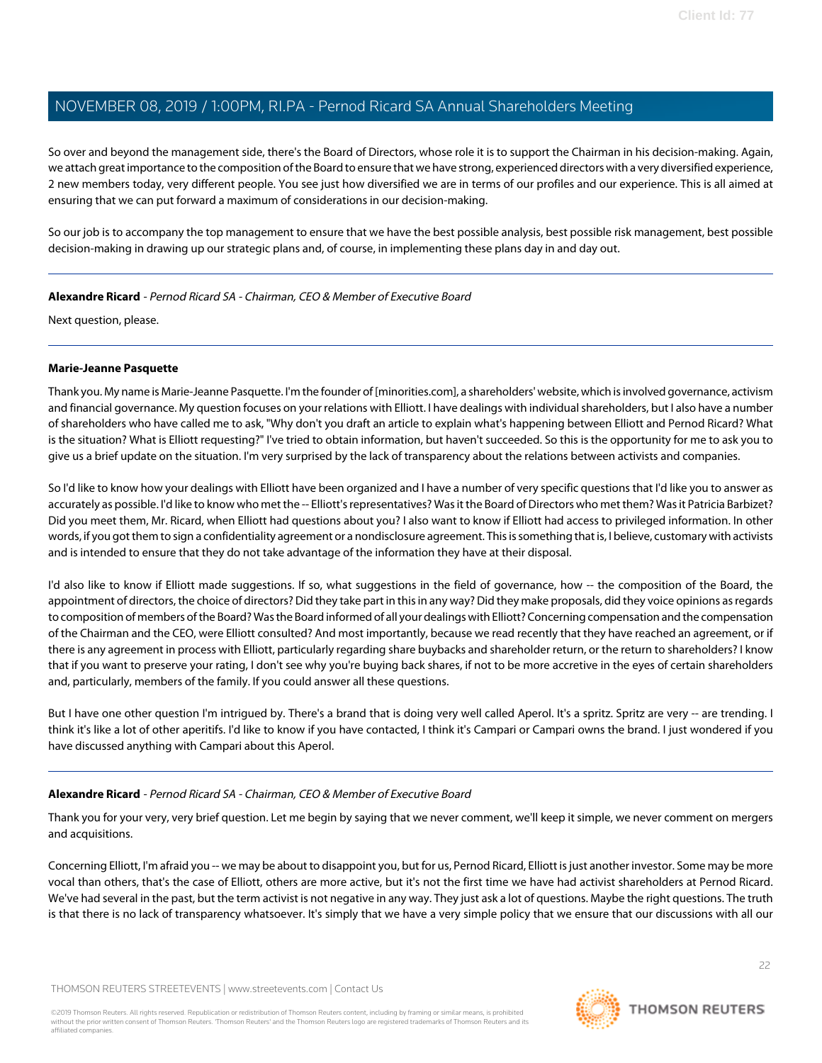So over and beyond the management side, there's the Board of Directors, whose role it is to support the Chairman in his decision-making. Again, we attach great importance to the composition of the Board to ensure that we have strong, experienced directors with a very diversified experience, 2 new members today, very different people. You see just how diversified we are in terms of our profiles and our experience. This is all aimed at ensuring that we can put forward a maximum of considerations in our decision-making.

So our job is to accompany the top management to ensure that we have the best possible analysis, best possible risk management, best possible decision-making in drawing up our strategic plans and, of course, in implementing these plans day in and day out.

**Alexandre Ricard** - Pernod Ricard SA - Chairman, CEO & Member of Executive Board

<span id="page-21-0"></span>Next question, please.

### **Marie-Jeanne Pasquette**

Thank you. My name is Marie-Jeanne Pasquette. I'm the founder of [minorities.com], a shareholders' website, which is involved governance, activism and financial governance. My question focuses on your relations with Elliott. I have dealings with individual shareholders, but I also have a number of shareholders who have called me to ask, "Why don't you draft an article to explain what's happening between Elliott and Pernod Ricard? What is the situation? What is Elliott requesting?" I've tried to obtain information, but haven't succeeded. So this is the opportunity for me to ask you to give us a brief update on the situation. I'm very surprised by the lack of transparency about the relations between activists and companies.

So I'd like to know how your dealings with Elliott have been organized and I have a number of very specific questions that I'd like you to answer as accurately as possible. I'd like to know who met the -- Elliott's representatives? Was it the Board of Directors who met them? Was it Patricia Barbizet? Did you meet them, Mr. Ricard, when Elliott had questions about you? I also want to know if Elliott had access to privileged information. In other words, if you got them to sign a confidentiality agreement or a nondisclosure agreement. This is something that is, I believe, customary with activists and is intended to ensure that they do not take advantage of the information they have at their disposal.

I'd also like to know if Elliott made suggestions. If so, what suggestions in the field of governance, how -- the composition of the Board, the appointment of directors, the choice of directors? Did they take part in this in any way? Did they make proposals, did they voice opinions as regards to composition of members of the Board? Was the Board informed of all your dealings with Elliott? Concerning compensation and the compensation of the Chairman and the CEO, were Elliott consulted? And most importantly, because we read recently that they have reached an agreement, or if there is any agreement in process with Elliott, particularly regarding share buybacks and shareholder return, or the return to shareholders? I know that if you want to preserve your rating, I don't see why you're buying back shares, if not to be more accretive in the eyes of certain shareholders and, particularly, members of the family. If you could answer all these questions.

But I have one other question I'm intrigued by. There's a brand that is doing very well called Aperol. It's a spritz. Spritz are very -- are trending. I think it's like a lot of other aperitifs. I'd like to know if you have contacted, I think it's Campari or Campari owns the brand. I just wondered if you have discussed anything with Campari about this Aperol.

### **Alexandre Ricard** - Pernod Ricard SA - Chairman, CEO & Member of Executive Board

Thank you for your very, very brief question. Let me begin by saying that we never comment, we'll keep it simple, we never comment on mergers and acquisitions.

Concerning Elliott, I'm afraid you -- we may be about to disappoint you, but for us, Pernod Ricard, Elliott is just another investor. Some may be more vocal than others, that's the case of Elliott, others are more active, but it's not the first time we have had activist shareholders at Pernod Ricard. We've had several in the past, but the term activist is not negative in any way. They just ask a lot of questions. Maybe the right questions. The truth is that there is no lack of transparency whatsoever. It's simply that we have a very simple policy that we ensure that our discussions with all our

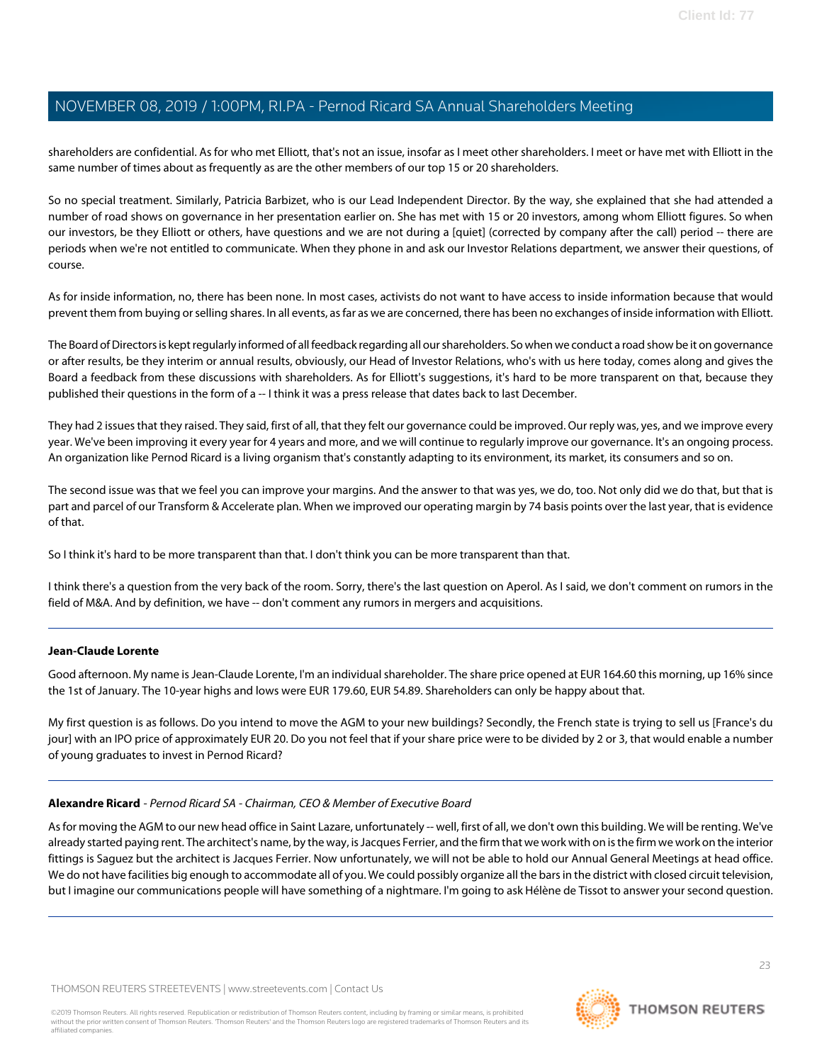shareholders are confidential. As for who met Elliott, that's not an issue, insofar as I meet other shareholders. I meet or have met with Elliott in the same number of times about as frequently as are the other members of our top 15 or 20 shareholders.

So no special treatment. Similarly, Patricia Barbizet, who is our Lead Independent Director. By the way, she explained that she had attended a number of road shows on governance in her presentation earlier on. She has met with 15 or 20 investors, among whom Elliott figures. So when our investors, be they Elliott or others, have questions and we are not during a [quiet] (corrected by company after the call) period -- there are periods when we're not entitled to communicate. When they phone in and ask our Investor Relations department, we answer their questions, of course.

As for inside information, no, there has been none. In most cases, activists do not want to have access to inside information because that would prevent them from buying or selling shares. In all events, as far as we are concerned, there has been no exchanges of inside information with Elliott.

The Board of Directors is kept regularly informed of all feedback regarding all our shareholders. So when we conduct a road show be it on governance or after results, be they interim or annual results, obviously, our Head of Investor Relations, who's with us here today, comes along and gives the Board a feedback from these discussions with shareholders. As for Elliott's suggestions, it's hard to be more transparent on that, because they published their questions in the form of a -- I think it was a press release that dates back to last December.

They had 2 issues that they raised. They said, first of all, that they felt our governance could be improved. Our reply was, yes, and we improve every year. We've been improving it every year for 4 years and more, and we will continue to regularly improve our governance. It's an ongoing process. An organization like Pernod Ricard is a living organism that's constantly adapting to its environment, its market, its consumers and so on.

The second issue was that we feel you can improve your margins. And the answer to that was yes, we do, too. Not only did we do that, but that is part and parcel of our Transform & Accelerate plan. When we improved our operating margin by 74 basis points over the last year, that is evidence of that.

So I think it's hard to be more transparent than that. I don't think you can be more transparent than that.

<span id="page-22-0"></span>I think there's a question from the very back of the room. Sorry, there's the last question on Aperol. As I said, we don't comment on rumors in the field of M&A. And by definition, we have -- don't comment any rumors in mergers and acquisitions.

### **Jean-Claude Lorente**

Good afternoon. My name is Jean-Claude Lorente, I'm an individual shareholder. The share price opened at EUR 164.60 this morning, up 16% since the 1st of January. The 10-year highs and lows were EUR 179.60, EUR 54.89. Shareholders can only be happy about that.

My first question is as follows. Do you intend to move the AGM to your new buildings? Secondly, the French state is trying to sell us [France's du jour] with an IPO price of approximately EUR 20. Do you not feel that if your share price were to be divided by 2 or 3, that would enable a number of young graduates to invest in Pernod Ricard?

### **Alexandre Ricard** - Pernod Ricard SA - Chairman, CEO & Member of Executive Board

As for moving the AGM to our new head office in Saint Lazare, unfortunately -- well, first of all, we don't own this building. We will be renting. We've already started paying rent. The architect's name, by the way, is Jacques Ferrier, and the firm that we work with on is the firm we work on the interior fittings is Saguez but the architect is Jacques Ferrier. Now unfortunately, we will not be able to hold our Annual General Meetings at head office. We do not have facilities big enough to accommodate all of you. We could possibly organize all the bars in the district with closed circuit television, but I imagine our communications people will have something of a nightmare. I'm going to ask Hélène de Tissot to answer your second question.

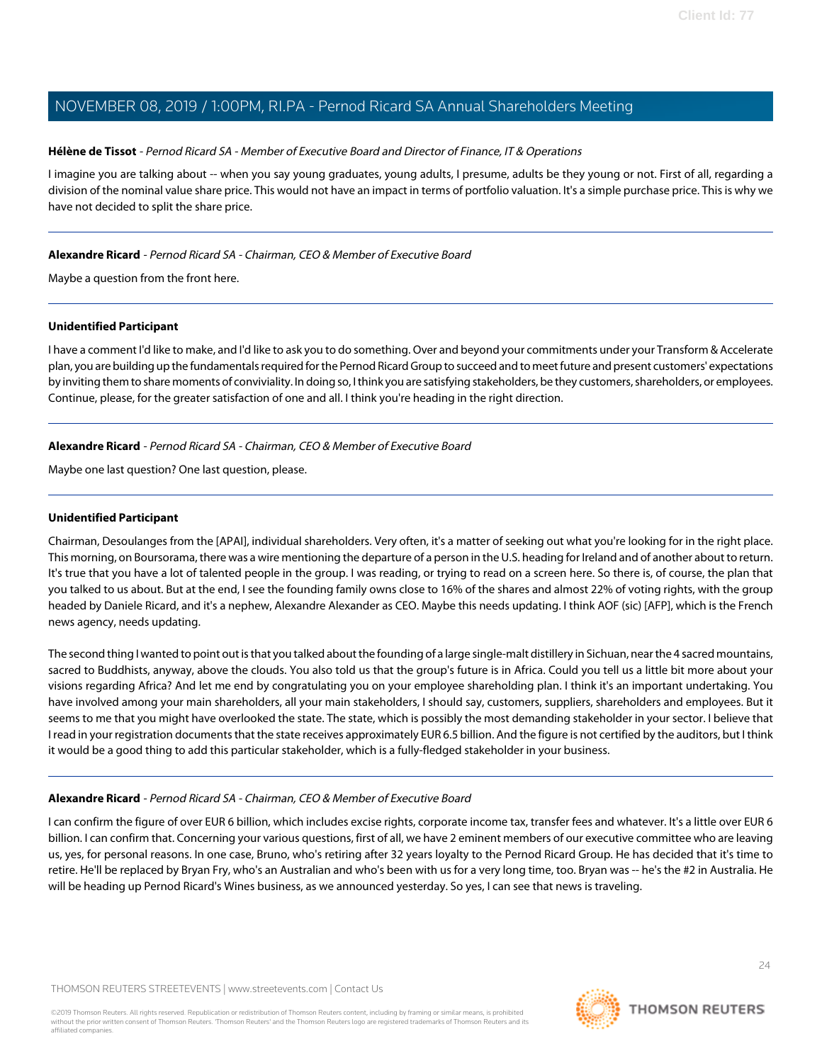### **Hélène de Tissot** - Pernod Ricard SA - Member of Executive Board and Director of Finance, IT & Operations

I imagine you are talking about -- when you say young graduates, young adults, I presume, adults be they young or not. First of all, regarding a division of the nominal value share price. This would not have an impact in terms of portfolio valuation. It's a simple purchase price. This is why we have not decided to split the share price.

### **Alexandre Ricard** - Pernod Ricard SA - Chairman, CEO & Member of Executive Board

Maybe a question from the front here.

### **Unidentified Participant**

I have a comment I'd like to make, and I'd like to ask you to do something. Over and beyond your commitments under your Transform & Accelerate plan, you are building up the fundamentals required for the Pernod Ricard Group to succeed and to meet future and present customers' expectations by inviting them to share moments of conviviality. In doing so, I think you are satisfying stakeholders, be they customers, shareholders, or employees. Continue, please, for the greater satisfaction of one and all. I think you're heading in the right direction.

### **Alexandre Ricard** - Pernod Ricard SA - Chairman, CEO & Member of Executive Board

Maybe one last question? One last question, please.

### **Unidentified Participant**

Chairman, Desoulanges from the [APAI], individual shareholders. Very often, it's a matter of seeking out what you're looking for in the right place. This morning, on Boursorama, there was a wire mentioning the departure of a person in the U.S. heading for Ireland and of another about to return. It's true that you have a lot of talented people in the group. I was reading, or trying to read on a screen here. So there is, of course, the plan that you talked to us about. But at the end, I see the founding family owns close to 16% of the shares and almost 22% of voting rights, with the group headed by Daniele Ricard, and it's a nephew, Alexandre Alexander as CEO. Maybe this needs updating. I think AOF (sic) [AFP], which is the French news agency, needs updating.

The second thing I wanted to point out is that you talked about the founding of a large single-malt distillery in Sichuan, near the 4 sacred mountains, sacred to Buddhists, anyway, above the clouds. You also told us that the group's future is in Africa. Could you tell us a little bit more about your visions regarding Africa? And let me end by congratulating you on your employee shareholding plan. I think it's an important undertaking. You have involved among your main shareholders, all your main stakeholders, I should say, customers, suppliers, shareholders and employees. But it seems to me that you might have overlooked the state. The state, which is possibly the most demanding stakeholder in your sector. I believe that I read in your registration documents that the state receives approximately EUR 6.5 billion. And the figure is not certified by the auditors, but I think it would be a good thing to add this particular stakeholder, which is a fully-fledged stakeholder in your business.

### **Alexandre Ricard** - Pernod Ricard SA - Chairman, CEO & Member of Executive Board

I can confirm the figure of over EUR 6 billion, which includes excise rights, corporate income tax, transfer fees and whatever. It's a little over EUR 6 billion. I can confirm that. Concerning your various questions, first of all, we have 2 eminent members of our executive committee who are leaving us, yes, for personal reasons. In one case, Bruno, who's retiring after 32 years loyalty to the Pernod Ricard Group. He has decided that it's time to retire. He'll be replaced by Bryan Fry, who's an Australian and who's been with us for a very long time, too. Bryan was -- he's the #2 in Australia. He will be heading up Pernod Ricard's Wines business, as we announced yesterday. So yes, I can see that news is traveling.

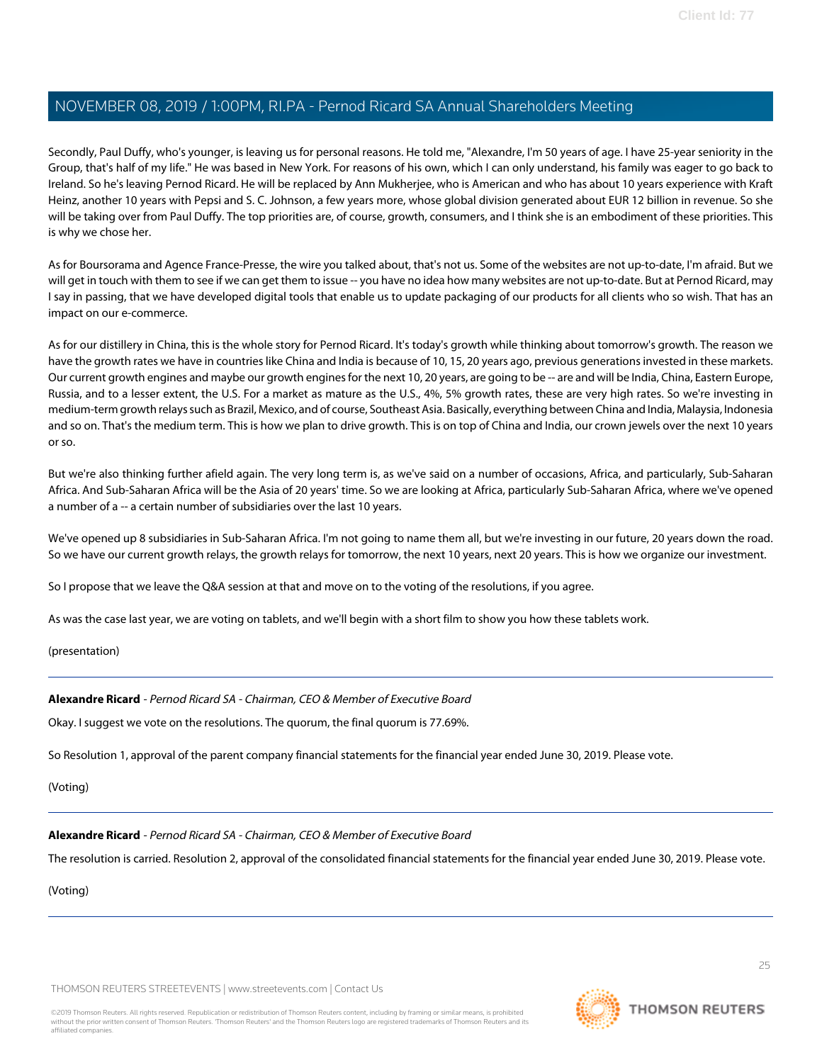Secondly, Paul Duffy, who's younger, is leaving us for personal reasons. He told me, "Alexandre, I'm 50 years of age. I have 25-year seniority in the Group, that's half of my life." He was based in New York. For reasons of his own, which I can only understand, his family was eager to go back to Ireland. So he's leaving Pernod Ricard. He will be replaced by Ann Mukherjee, who is American and who has about 10 years experience with Kraft Heinz, another 10 years with Pepsi and S. C. Johnson, a few years more, whose global division generated about EUR 12 billion in revenue. So she will be taking over from Paul Duffy. The top priorities are, of course, growth, consumers, and I think she is an embodiment of these priorities. This is why we chose her.

As for Boursorama and Agence France-Presse, the wire you talked about, that's not us. Some of the websites are not up-to-date, I'm afraid. But we will get in touch with them to see if we can get them to issue -- you have no idea how many websites are not up-to-date. But at Pernod Ricard, may I say in passing, that we have developed digital tools that enable us to update packaging of our products for all clients who so wish. That has an impact on our e-commerce.

As for our distillery in China, this is the whole story for Pernod Ricard. It's today's growth while thinking about tomorrow's growth. The reason we have the growth rates we have in countries like China and India is because of 10, 15, 20 years ago, previous generations invested in these markets. Our current growth engines and maybe our growth engines for the next 10, 20 years, are going to be -- are and will be India, China, Eastern Europe, Russia, and to a lesser extent, the U.S. For a market as mature as the U.S., 4%, 5% growth rates, these are very high rates. So we're investing in medium-term growth relays such as Brazil, Mexico, and of course, Southeast Asia. Basically, everything between China and India, Malaysia, Indonesia and so on. That's the medium term. This is how we plan to drive growth. This is on top of China and India, our crown jewels over the next 10 years or so.

But we're also thinking further afield again. The very long term is, as we've said on a number of occasions, Africa, and particularly, Sub-Saharan Africa. And Sub-Saharan Africa will be the Asia of 20 years' time. So we are looking at Africa, particularly Sub-Saharan Africa, where we've opened a number of a -- a certain number of subsidiaries over the last 10 years.

We've opened up 8 subsidiaries in Sub-Saharan Africa. I'm not going to name them all, but we're investing in our future, 20 years down the road. So we have our current growth relays, the growth relays for tomorrow, the next 10 years, next 20 years. This is how we organize our investment.

So I propose that we leave the Q&A session at that and move on to the voting of the resolutions, if you agree.

As was the case last year, we are voting on tablets, and we'll begin with a short film to show you how these tablets work.

(presentation)

### **Alexandre Ricard** - Pernod Ricard SA - Chairman, CEO & Member of Executive Board

Okay. I suggest we vote on the resolutions. The quorum, the final quorum is 77.69%.

So Resolution 1, approval of the parent company financial statements for the financial year ended June 30, 2019. Please vote.

(Voting)

**Alexandre Ricard** - Pernod Ricard SA - Chairman, CEO & Member of Executive Board

The resolution is carried. Resolution 2, approval of the consolidated financial statements for the financial year ended June 30, 2019. Please vote.

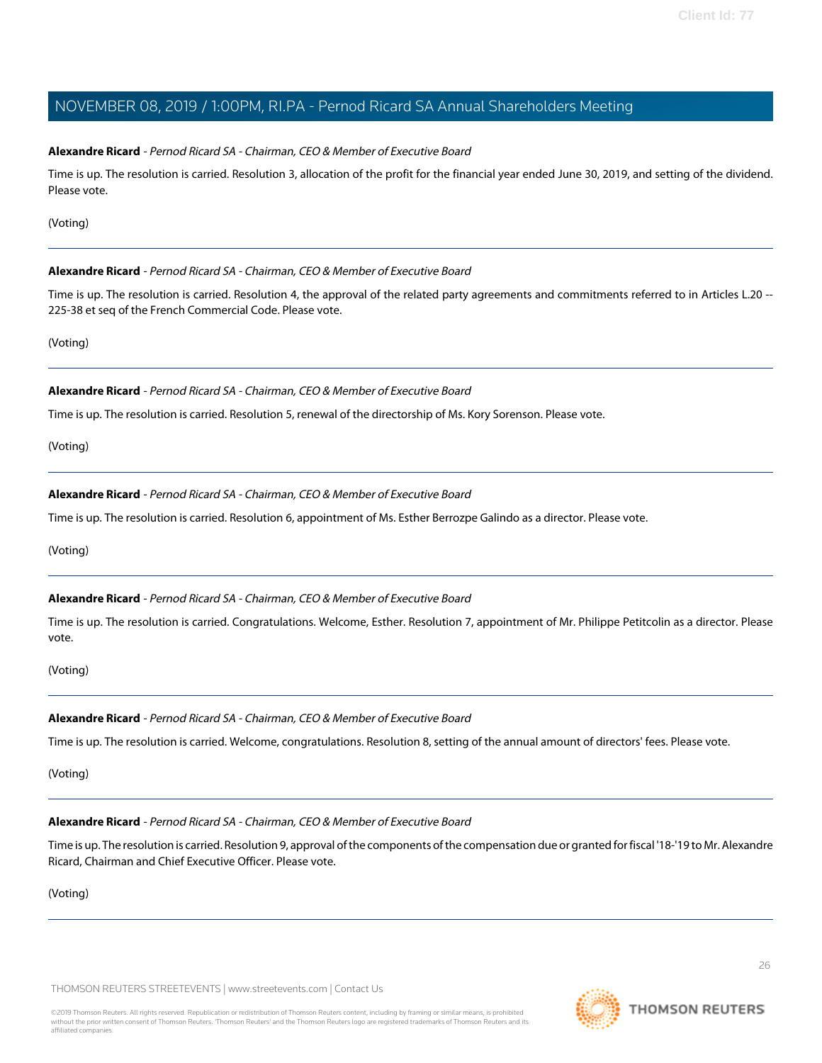### **Alexandre Ricard** - Pernod Ricard SA - Chairman, CEO & Member of Executive Board

Time is up. The resolution is carried. Resolution 3, allocation of the profit for the financial year ended June 30, 2019, and setting of the dividend. Please vote.

### (Voting)

### **Alexandre Ricard** - Pernod Ricard SA - Chairman, CEO & Member of Executive Board

Time is up. The resolution is carried. Resolution 4, the approval of the related party agreements and commitments referred to in Articles L.20 --225-38 et seq of the French Commercial Code. Please vote.

(Voting)

### **Alexandre Ricard** - Pernod Ricard SA - Chairman, CEO & Member of Executive Board

Time is up. The resolution is carried. Resolution 5, renewal of the directorship of Ms. Kory Sorenson. Please vote.

(Voting)

### **Alexandre Ricard** - Pernod Ricard SA - Chairman, CEO & Member of Executive Board

Time is up. The resolution is carried. Resolution 6, appointment of Ms. Esther Berrozpe Galindo as a director. Please vote.

(Voting)

### **Alexandre Ricard** - Pernod Ricard SA - Chairman, CEO & Member of Executive Board

Time is up. The resolution is carried. Congratulations. Welcome, Esther. Resolution 7, appointment of Mr. Philippe Petitcolin as a director. Please vote.

### (Voting)

### **Alexandre Ricard** - Pernod Ricard SA - Chairman, CEO & Member of Executive Board

Time is up. The resolution is carried. Welcome, congratulations. Resolution 8, setting of the annual amount of directors' fees. Please vote.

(Voting)

### **Alexandre Ricard** - Pernod Ricard SA - Chairman, CEO & Member of Executive Board

Time is up. The resolution is carried. Resolution 9, approval of the components of the compensation due or granted for fiscal '18-'19 to Mr. Alexandre Ricard, Chairman and Chief Executive Officer. Please vote.

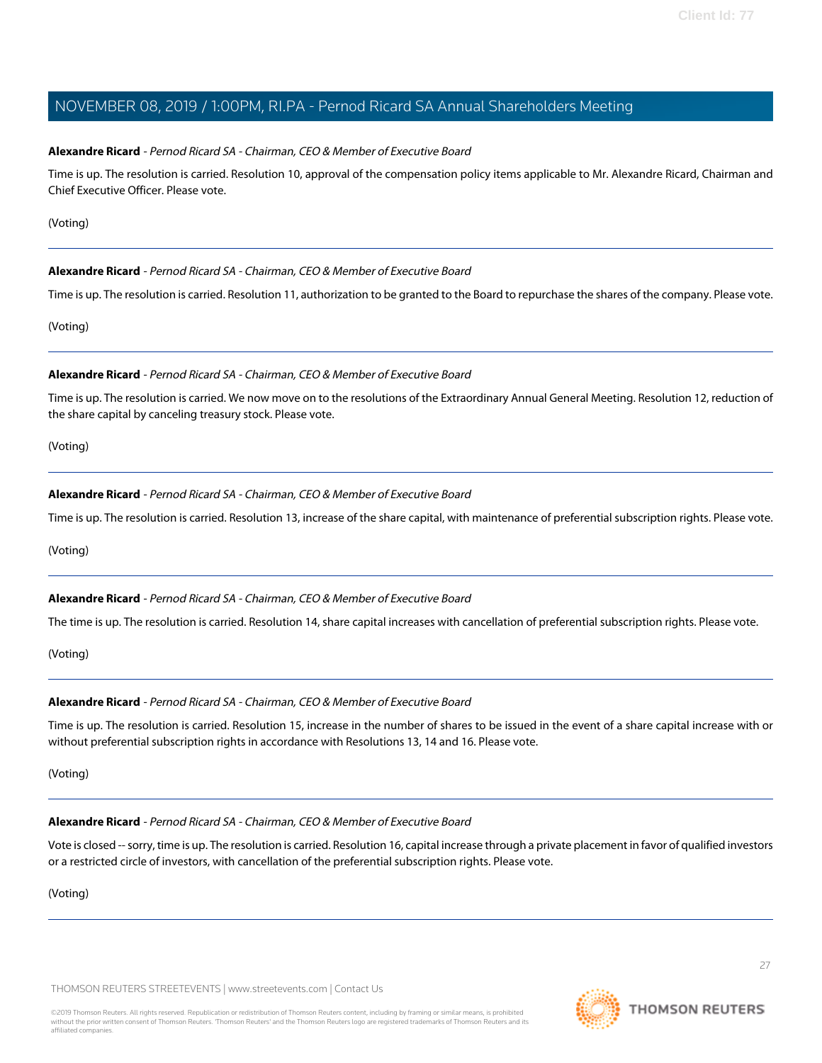### **Alexandre Ricard** - Pernod Ricard SA - Chairman, CEO & Member of Executive Board

Time is up. The resolution is carried. Resolution 10, approval of the compensation policy items applicable to Mr. Alexandre Ricard, Chairman and Chief Executive Officer. Please vote.

### (Voting)

### **Alexandre Ricard** - Pernod Ricard SA - Chairman, CEO & Member of Executive Board

Time is up. The resolution is carried. Resolution 11, authorization to be granted to the Board to repurchase the shares of the company. Please vote.

(Voting)

### **Alexandre Ricard** - Pernod Ricard SA - Chairman, CEO & Member of Executive Board

Time is up. The resolution is carried. We now move on to the resolutions of the Extraordinary Annual General Meeting. Resolution 12, reduction of the share capital by canceling treasury stock. Please vote.

(Voting)

### **Alexandre Ricard** - Pernod Ricard SA - Chairman, CEO & Member of Executive Board

Time is up. The resolution is carried. Resolution 13, increase of the share capital, with maintenance of preferential subscription rights. Please vote.

(Voting)

### **Alexandre Ricard** - Pernod Ricard SA - Chairman, CEO & Member of Executive Board

The time is up. The resolution is carried. Resolution 14, share capital increases with cancellation of preferential subscription rights. Please vote.

(Voting)

### **Alexandre Ricard** - Pernod Ricard SA - Chairman, CEO & Member of Executive Board

Time is up. The resolution is carried. Resolution 15, increase in the number of shares to be issued in the event of a share capital increase with or without preferential subscription rights in accordance with Resolutions 13, 14 and 16. Please vote.

(Voting)

### **Alexandre Ricard** - Pernod Ricard SA - Chairman, CEO & Member of Executive Board

Vote is closed -- sorry, time is up. The resolution is carried. Resolution 16, capital increase through a private placement in favor of qualified investors or a restricted circle of investors, with cancellation of the preferential subscription rights. Please vote.

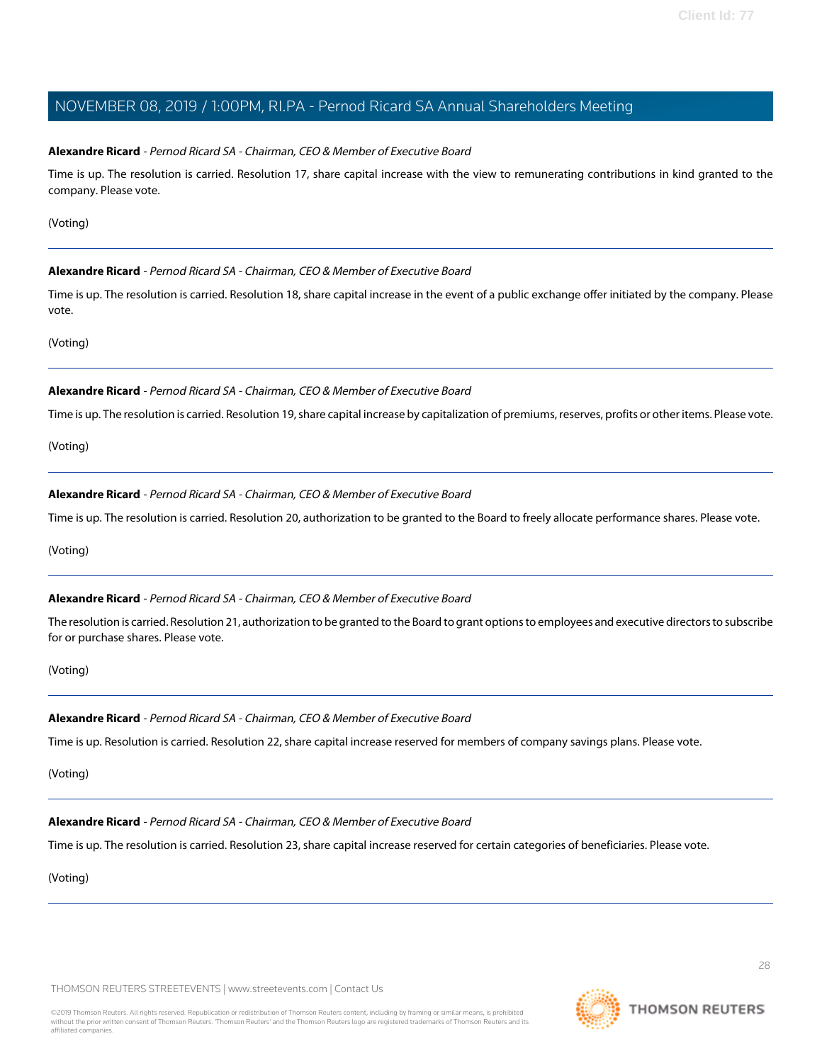### **Alexandre Ricard** - Pernod Ricard SA - Chairman, CEO & Member of Executive Board

Time is up. The resolution is carried. Resolution 17, share capital increase with the view to remunerating contributions in kind granted to the company. Please vote.

### (Voting)

### **Alexandre Ricard** - Pernod Ricard SA - Chairman, CEO & Member of Executive Board

Time is up. The resolution is carried. Resolution 18, share capital increase in the event of a public exchange offer initiated by the company. Please vote.

(Voting)

### **Alexandre Ricard** - Pernod Ricard SA - Chairman, CEO & Member of Executive Board

Time is up. The resolution is carried. Resolution 19, share capital increase by capitalization of premiums, reserves, profits or other items. Please vote.

(Voting)

### **Alexandre Ricard** - Pernod Ricard SA - Chairman, CEO & Member of Executive Board

Time is up. The resolution is carried. Resolution 20, authorization to be granted to the Board to freely allocate performance shares. Please vote.

(Voting)

### **Alexandre Ricard** - Pernod Ricard SA - Chairman, CEO & Member of Executive Board

The resolution is carried. Resolution 21, authorization to be granted to the Board to grant options to employees and executive directors to subscribe for or purchase shares. Please vote.

### (Voting)

### **Alexandre Ricard** - Pernod Ricard SA - Chairman, CEO & Member of Executive Board

Time is up. Resolution is carried. Resolution 22, share capital increase reserved for members of company savings plans. Please vote.

(Voting)

### **Alexandre Ricard** - Pernod Ricard SA - Chairman, CEO & Member of Executive Board

Time is up. The resolution is carried. Resolution 23, share capital increase reserved for certain categories of beneficiaries. Please vote.